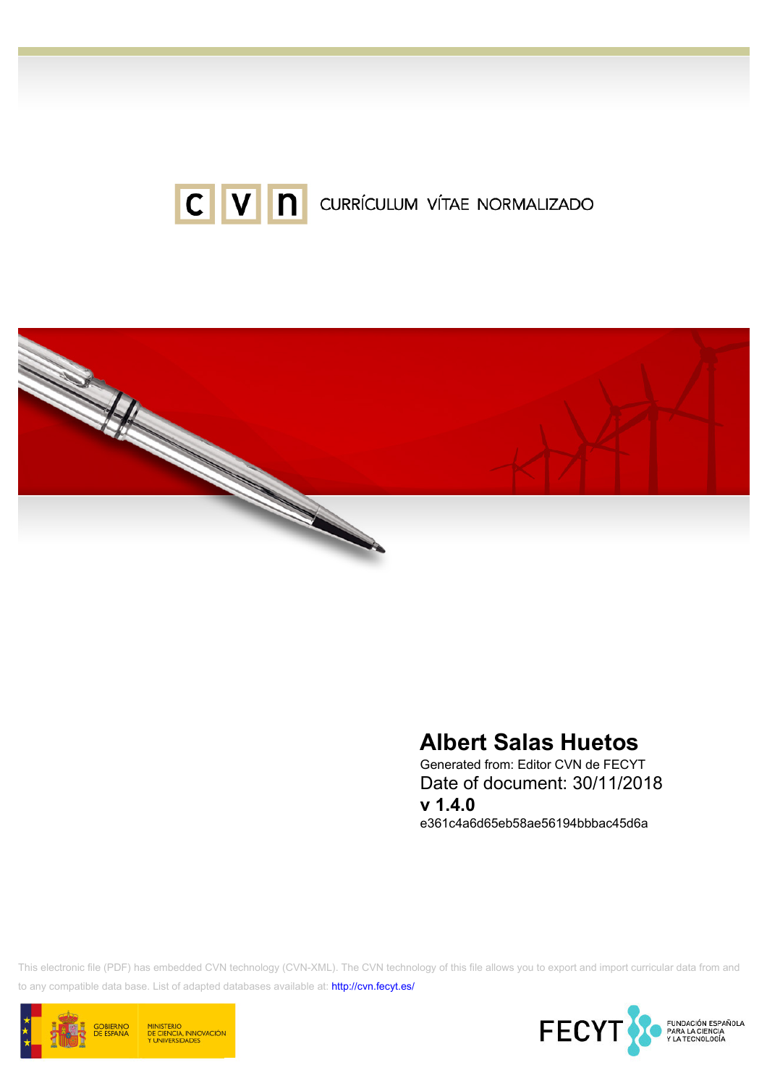



# Albert Salas Huetos

Generated from: Editor CVN de FECYT Date of document: 30/11/2018 v 1.4.0 e361c4a6d65eb58ae56194bbbac45d6a

This electronic file (PDF) has embedded CVN technology (CVN-XML). The CVN technology of this file allows you to export and import curricular data from and to any compatible data base. List of adapted databases available at:<http://cvn.fecyt.es/>



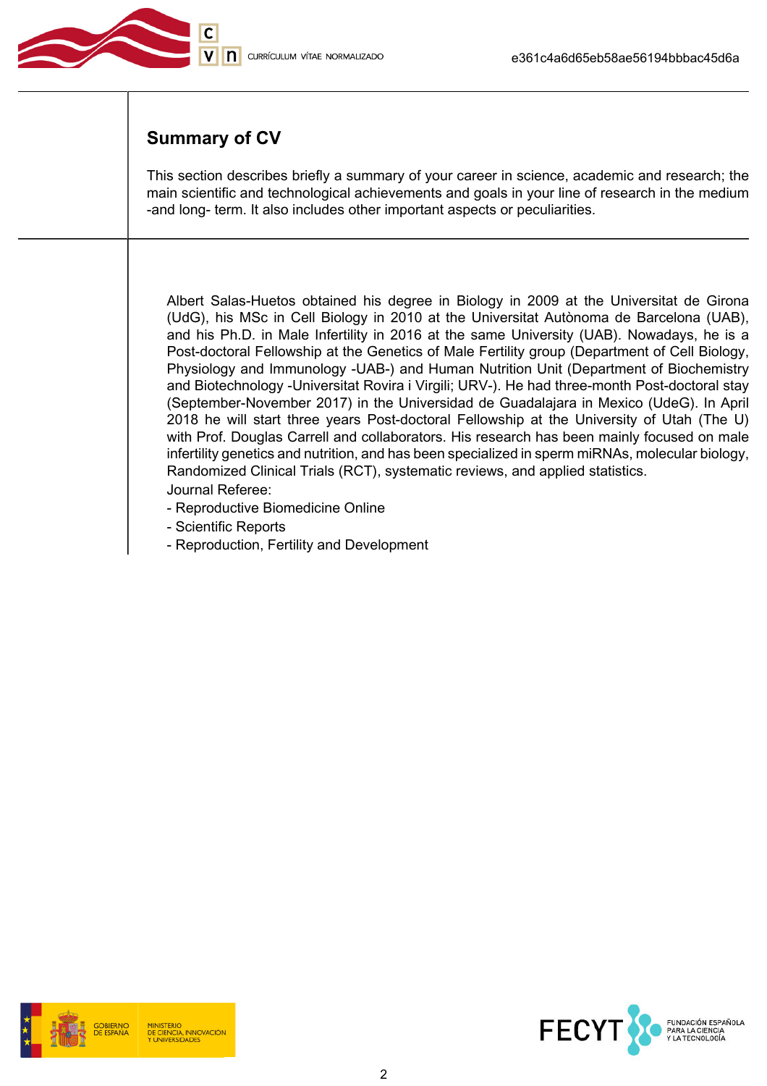

# Summary of CV

This section describes briefly a summary of your career in science, academic and research; the main scientific and technological achievements and goals in your line of research in the medium -and long- term. It also includes other important aspects or peculiarities.

Albert Salas-Huetos obtained his degree in Biology in 2009 at the Universitat de Girona (UdG), his MSc in Cell Biology in 2010 at the Universitat Autònoma de Barcelona (UAB), and his Ph.D. in Male Infertility in 2016 at the same University (UAB). Nowadays, he is a Post-doctoral Fellowship at the Genetics of Male Fertility group (Department of Cell Biology, Physiology and Immunology -UAB-) and Human Nutrition Unit (Department of Biochemistry and Biotechnology -Universitat Rovira i Virgili; URV-). He had three-month Post-doctoral stay (September-November 2017) in the Universidad de Guadalajara in Mexico (UdeG). In April 2018 he will start three years Post-doctoral Fellowship at the University of Utah (The U) with Prof. Douglas Carrell and collaborators. His research has been mainly focused on male infertility genetics and nutrition, and has been specialized in sperm miRNAs, molecular biology, Randomized Clinical Trials (RCT), systematic reviews, and applied statistics. Journal Referee:

- Reproductive Biomedicine Online
- Scientific Reports
- Reproduction, Fertility and Development



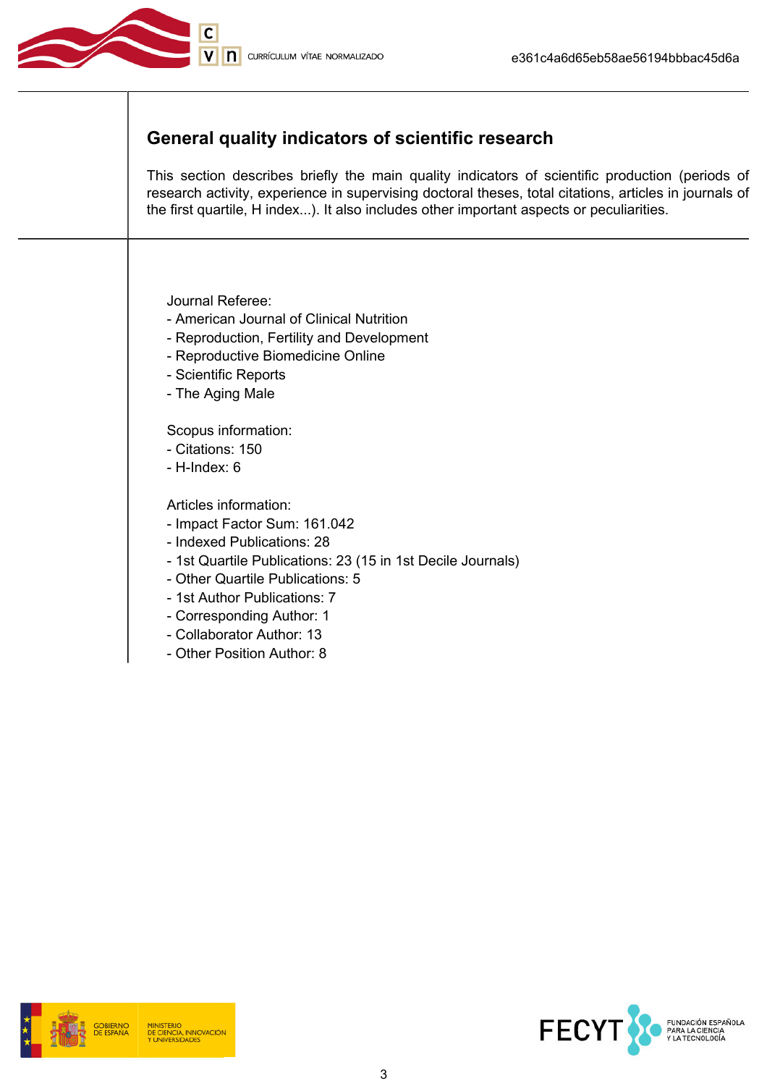

# General quality indicators of scientific research

This section describes briefly the main quality indicators of scientific production (periods of research activity, experience in supervising doctoral theses, total citations, articles in journals of the first quartile, H index...). It also includes other important aspects or peculiarities.

Journal Referee:

- American Journal of Clinical Nutrition
- Reproduction, Fertility and Development
- Reproductive Biomedicine Online
- Scientific Reports
- The Aging Male

Scopus information:

- Citations: 150
- H-Index: 6

Articles information:

- Impact Factor Sum: 161.042
- Indexed Publications: 28
- 1st Quartile Publications: 23 (15 in 1st Decile Journals)
- Other Quartile Publications: 5
- 1st Author Publications: 7
- Corresponding Author: 1
- Collaborator Author: 13
- Other Position Author: 8





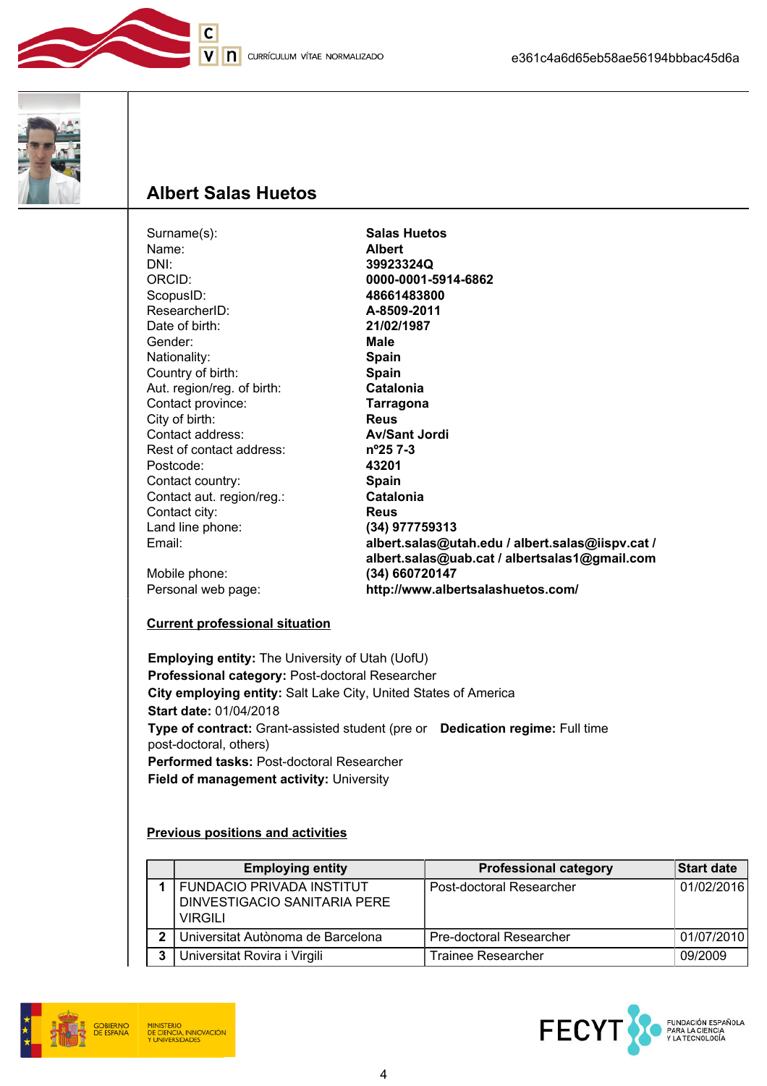





# Albert Salas Huetos

 $\overline{\mathsf{C}}$ 

| Surname(s):                | <b>Salas Huetos</b>                              |
|----------------------------|--------------------------------------------------|
| Name:                      | <b>Albert</b>                                    |
| DNI:                       | 39923324Q                                        |
| ORCID:                     | 0000-0001-5914-6862                              |
| ScopusID:                  | 48661483800                                      |
| ResearcherID:              | A-8509-2011                                      |
| Date of birth:             | 21/02/1987                                       |
| Gender:                    | Male                                             |
| Nationality:               | <b>Spain</b>                                     |
| Country of birth:          | <b>Spain</b>                                     |
| Aut. region/reg. of birth: | Catalonia                                        |
| Contact province:          | <b>Tarragona</b>                                 |
| City of birth:             | <b>Reus</b>                                      |
| Contact address:           | <b>Av/Sant Jordi</b>                             |
| Rest of contact address:   | $n^{\circ}257-3$                                 |
| Postcode:                  | 43201                                            |
| Contact country:           | Spain                                            |
| Contact aut. region/reg.:  | Catalonia                                        |
| Contact city:              | <b>Reus</b>                                      |
| Land line phone:           | (34) 977759313                                   |
| Email:                     | albert.salas@utah.edu / albert.salas@iispv.cat / |
|                            | albert.salas@uab.cat / albertsalas1@gmail.com    |
| Mobile phone:              | (34) 660720147                                   |
| Personal web page:         | http://www.albertsalashuetos.com/                |
|                            |                                                  |

#### Current professional situation

Employing entity: The University of Utah (UofU) Professional category: Post-doctoral Researcher City employing entity: Salt Lake City, United States of America Start date: 01/04/2018 Type of contract: Grant-assisted student (pre or Dedication regime: Full time post-doctoral, others) Performed tasks: Post-doctoral Researcher Field of management activity: University

#### Previous positions and activities

|   | <b>Employing entity</b>                                                     | <b>Professional category</b>   | <b>Start date</b> |
|---|-----------------------------------------------------------------------------|--------------------------------|-------------------|
|   | <b>FUNDACIO PRIVADA INSTITUT</b><br>DINVESTIGACIO SANITARIA PERE<br>VIRGILI | Post-doctoral Researcher       | 01/02/2016        |
| 2 | Universitat Autònoma de Barcelona                                           | <b>Pre-doctoral Researcher</b> | 01/07/2010        |
| 3 | Universitat Rovira i Virgili                                                | <b>Trainee Researcher</b>      | 09/2009           |



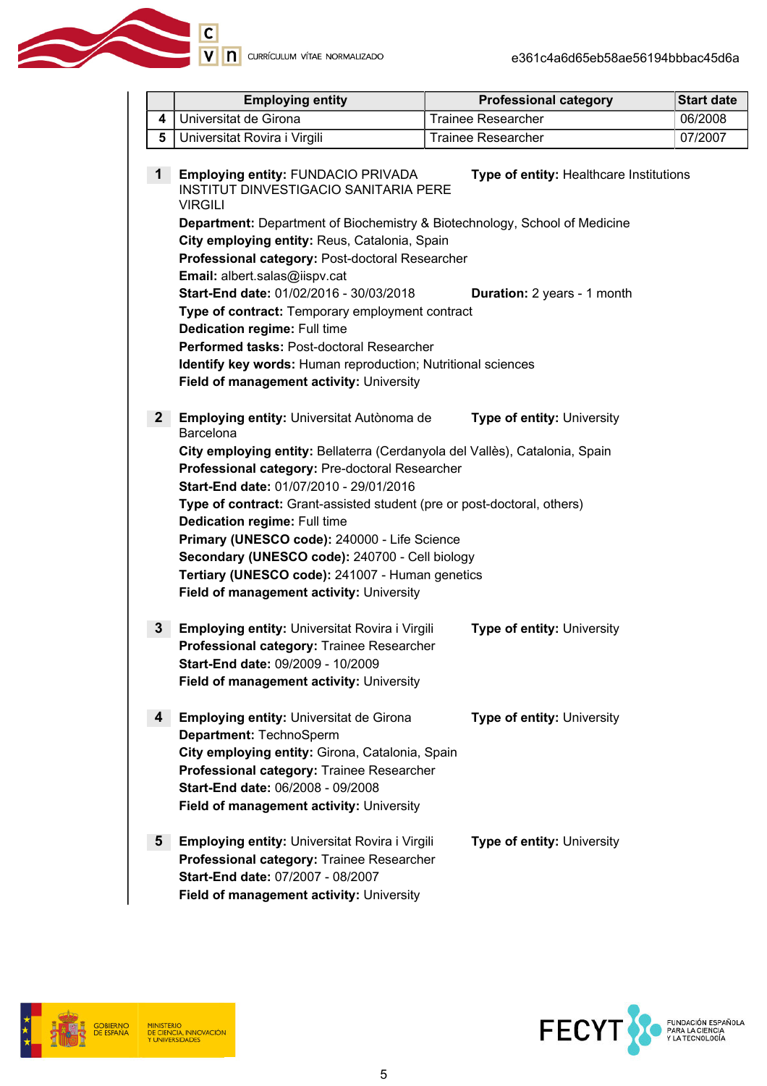

|                                                                                                                                                                                                                                                                                                                                                                                                                                                                                                                                                                                                                                                                                                                        |                                                                                                                                                                                                                                                                                                                                                                                                                                                                                                                                                                                                              | <b>Employing entity</b>                                                                                                                                                                                                                                    | <b>Professional category</b>      | <b>Start date</b> |
|------------------------------------------------------------------------------------------------------------------------------------------------------------------------------------------------------------------------------------------------------------------------------------------------------------------------------------------------------------------------------------------------------------------------------------------------------------------------------------------------------------------------------------------------------------------------------------------------------------------------------------------------------------------------------------------------------------------------|--------------------------------------------------------------------------------------------------------------------------------------------------------------------------------------------------------------------------------------------------------------------------------------------------------------------------------------------------------------------------------------------------------------------------------------------------------------------------------------------------------------------------------------------------------------------------------------------------------------|------------------------------------------------------------------------------------------------------------------------------------------------------------------------------------------------------------------------------------------------------------|-----------------------------------|-------------------|
|                                                                                                                                                                                                                                                                                                                                                                                                                                                                                                                                                                                                                                                                                                                        | 4                                                                                                                                                                                                                                                                                                                                                                                                                                                                                                                                                                                                            | Universitat de Girona                                                                                                                                                                                                                                      | <b>Trainee Researcher</b>         | 06/2008           |
|                                                                                                                                                                                                                                                                                                                                                                                                                                                                                                                                                                                                                                                                                                                        | 5                                                                                                                                                                                                                                                                                                                                                                                                                                                                                                                                                                                                            | Universitat Rovira i Virgili                                                                                                                                                                                                                               | <b>Trainee Researcher</b>         | 07/2007           |
| Employing entity: FUNDACIO PRIVADA<br>$\mathbf{1}$<br>Type of entity: Healthcare Institutions<br><b>INSTITUT DINVESTIGACIO SANITARIA PERE</b><br><b>VIRGILI</b><br><b>Department:</b> Department of Biochemistry & Biotechnology, School of Medicine<br>City employing entity: Reus, Catalonia, Spain<br>Professional category: Post-doctoral Researcher<br>Email: albert.salas@iispv.cat<br>Start-End date: 01/02/2016 - 30/03/2018<br>Duration: 2 years - 1 month<br>Type of contract: Temporary employment contract<br><b>Dedication regime: Full time</b><br>Performed tasks: Post-doctoral Researcher<br>Identify key words: Human reproduction; Nutritional sciences<br>Field of management activity: University |                                                                                                                                                                                                                                                                                                                                                                                                                                                                                                                                                                                                              |                                                                                                                                                                                                                                                            |                                   |                   |
|                                                                                                                                                                                                                                                                                                                                                                                                                                                                                                                                                                                                                                                                                                                        | 2 <sub>2</sub><br>Employing entity: Universitat Autònoma de<br><b>Type of entity: University</b><br>Barcelona<br>City employing entity: Bellaterra (Cerdanyola del Vallès), Catalonia, Spain<br>Professional category: Pre-doctoral Researcher<br>Start-End date: 01/07/2010 - 29/01/2016<br>Type of contract: Grant-assisted student (pre or post-doctoral, others)<br><b>Dedication regime: Full time</b><br>Primary (UNESCO code): 240000 - Life Science<br>Secondary (UNESCO code): 240700 - Cell biology<br>Tertiary (UNESCO code): 241007 - Human genetics<br>Field of management activity: University |                                                                                                                                                                                                                                                            |                                   |                   |
|                                                                                                                                                                                                                                                                                                                                                                                                                                                                                                                                                                                                                                                                                                                        | 3 <sup>1</sup>                                                                                                                                                                                                                                                                                                                                                                                                                                                                                                                                                                                               | Employing entity: Universitat Rovira i Virgili<br>Professional category: Trainee Researcher<br>Start-End date: 09/2009 - 10/2009<br>Field of management activity: University                                                                               | <b>Type of entity: University</b> |                   |
|                                                                                                                                                                                                                                                                                                                                                                                                                                                                                                                                                                                                                                                                                                                        | 4                                                                                                                                                                                                                                                                                                                                                                                                                                                                                                                                                                                                            | <b>Employing entity: Universitat de Girona</b><br>Department: TechnoSperm<br>City employing entity: Girona, Catalonia, Spain<br>Professional category: Trainee Researcher<br>Start-End date: 06/2008 - 09/2008<br>Field of management activity: University | <b>Type of entity: University</b> |                   |
|                                                                                                                                                                                                                                                                                                                                                                                                                                                                                                                                                                                                                                                                                                                        | 5                                                                                                                                                                                                                                                                                                                                                                                                                                                                                                                                                                                                            | <b>Employing entity: Universitat Rovira i Virgili</b><br>Professional category: Trainee Researcher<br>Start-End date: 07/2007 - 08/2007<br>Field of management activity: University                                                                        | <b>Type of entity: University</b> |                   |

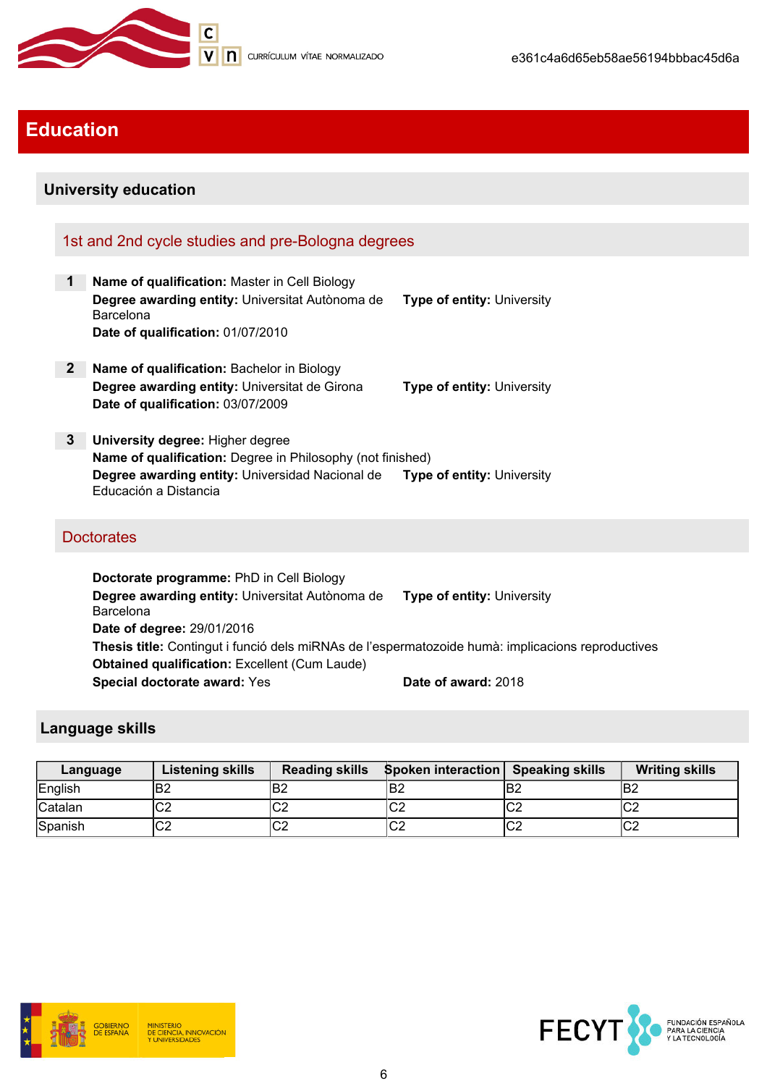

# Education

# University education

# 1st and 2nd cycle studies and pre-Bologna degrees

- 1 Name of qualification: Master in Cell Biology Degree awarding entity: Universitat Autònoma de **Barcelona** Type of entity: University Date of qualification: 01/07/2010
- 2 Name of qualification: Bachelor in Biology **Degree awarding entity:** Universitat de Girona Type of entity: University Date of qualification: 03/07/2009
- 3 University degree: Higher degree Name of qualification: Degree in Philosophy (not finished) Degree awarding entity: Universidad Nacional de Educación a Distancia Type of entity: University

# **Doctorates**

Doctorate programme: PhD in Cell Biology Degree awarding entity: Universitat Autònoma de Barcelona Type of entity: University Date of degree: 29/01/2016 Thesis title: Contingut i funció dels miRNAs de l'espermatozoide humà: implicacions reproductives Obtained qualification: Excellent (Cum Laude) Special doctorate award: Yes Date of award: 2018

## Language skills

| Language       | <b>Listening skills</b> | <b>Reading skills</b> | <b>Spoken interaction</b> Speaking skills |     | <b>Writing skills</b> |
|----------------|-------------------------|-----------------------|-------------------------------------------|-----|-----------------------|
| English        | B <sub>2</sub>          | lB2                   | IB2                                       | B2  | lB2                   |
| <b>Catalan</b> | ⌒⌒<br>◡∠                | $\sim$<br>◡∠          | r<br>◡∠                                   | lC2 | ~~<br>◡∠              |
| Spanish        | ⌒⌒<br>◡∠                | $\sim$<br>◡∠          | ro<br>◡∠                                  | ∣C2 | ~~<br>◡∠              |



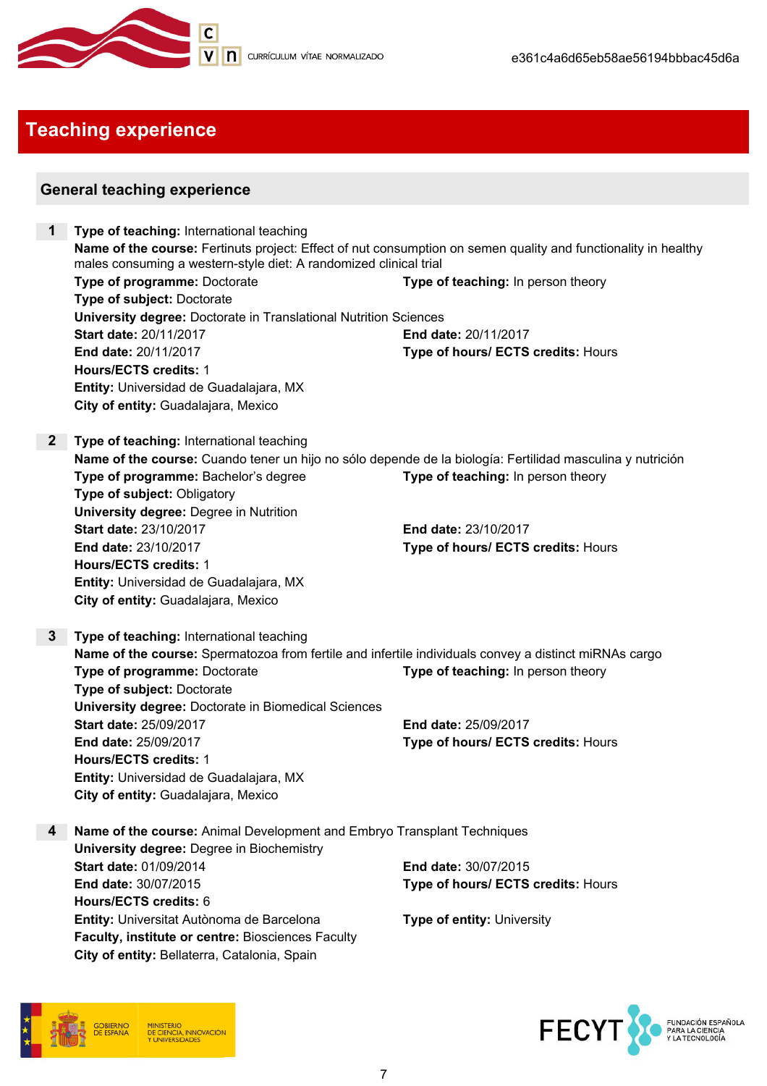

# Teaching experience

# General teaching experience

| $\mathbf 1$     | Type of teaching: International teaching                                                                       |                                    |  |
|-----------------|----------------------------------------------------------------------------------------------------------------|------------------------------------|--|
|                 | Name of the course: Fertinuts project: Effect of nut consumption on semen quality and functionality in healthy |                                    |  |
|                 | males consuming a western-style diet: A randomized clinical trial                                              |                                    |  |
|                 | Type of programme: Doctorate                                                                                   | Type of teaching: In person theory |  |
|                 | Type of subject: Doctorate                                                                                     |                                    |  |
|                 | <b>University degree: Doctorate in Translational Nutrition Sciences</b>                                        |                                    |  |
|                 | Start date: 20/11/2017                                                                                         | End date: 20/11/2017               |  |
|                 | End date: 20/11/2017                                                                                           | Type of hours/ ECTS credits: Hours |  |
|                 | <b>Hours/ECTS credits: 1</b>                                                                                   |                                    |  |
|                 | Entity: Universidad de Guadalajara, MX                                                                         |                                    |  |
|                 | City of entity: Guadalajara, Mexico                                                                            |                                    |  |
|                 |                                                                                                                |                                    |  |
| $\mathbf{2}$    | Type of teaching: International teaching                                                                       |                                    |  |
|                 | Name of the course: Cuando tener un hijo no sólo depende de la biología: Fertilidad masculina y nutrición      |                                    |  |
|                 | Type of programme: Bachelor's degree                                                                           | Type of teaching: In person theory |  |
|                 | Type of subject: Obligatory                                                                                    |                                    |  |
|                 | <b>University degree: Degree in Nutrition</b>                                                                  |                                    |  |
|                 | Start date: 23/10/2017                                                                                         | End date: 23/10/2017               |  |
|                 | End date: 23/10/2017                                                                                           | Type of hours/ ECTS credits: Hours |  |
|                 | <b>Hours/ECTS credits: 1</b>                                                                                   |                                    |  |
|                 | Entity: Universidad de Guadalajara, MX                                                                         |                                    |  |
|                 | City of entity: Guadalajara, Mexico                                                                            |                                    |  |
|                 |                                                                                                                |                                    |  |
| $3\phantom{.0}$ | Type of teaching: International teaching                                                                       |                                    |  |
|                 | Name of the course: Spermatozoa from fertile and infertile individuals convey a distinct miRNAs cargo          |                                    |  |
|                 | Type of programme: Doctorate                                                                                   | Type of teaching: In person theory |  |
|                 | Type of subject: Doctorate                                                                                     |                                    |  |
|                 | University degree: Doctorate in Biomedical Sciences                                                            |                                    |  |
|                 | <b>Start date: 25/09/2017</b>                                                                                  | End date: 25/09/2017               |  |
|                 | End date: 25/09/2017                                                                                           | Type of hours/ ECTS credits: Hours |  |
|                 | <b>Hours/ECTS credits: 1</b>                                                                                   |                                    |  |
|                 | Entity: Universidad de Guadalajara, MX                                                                         |                                    |  |
|                 | City of entity: Guadalajara, Mexico                                                                            |                                    |  |
|                 |                                                                                                                |                                    |  |
| 4               | Name of the course: Animal Development and Embryo Transplant Techniques                                        |                                    |  |
|                 | <b>University degree: Degree in Biochemistry</b>                                                               |                                    |  |
|                 | Start date: 01/09/2014                                                                                         | End date: 30/07/2015               |  |
|                 | End date: 30/07/2015                                                                                           | Type of hours/ ECTS credits: Hours |  |
|                 | Hours/ECTS credits: 6                                                                                          |                                    |  |
|                 | Entity: Universitat Autònoma de Barcelona                                                                      | <b>Type of entity: University</b>  |  |
|                 | Faculty, institute or centre: Biosciences Faculty                                                              |                                    |  |
|                 | City of entity: Bellaterra, Catalonia, Spain                                                                   |                                    |  |
|                 |                                                                                                                |                                    |  |



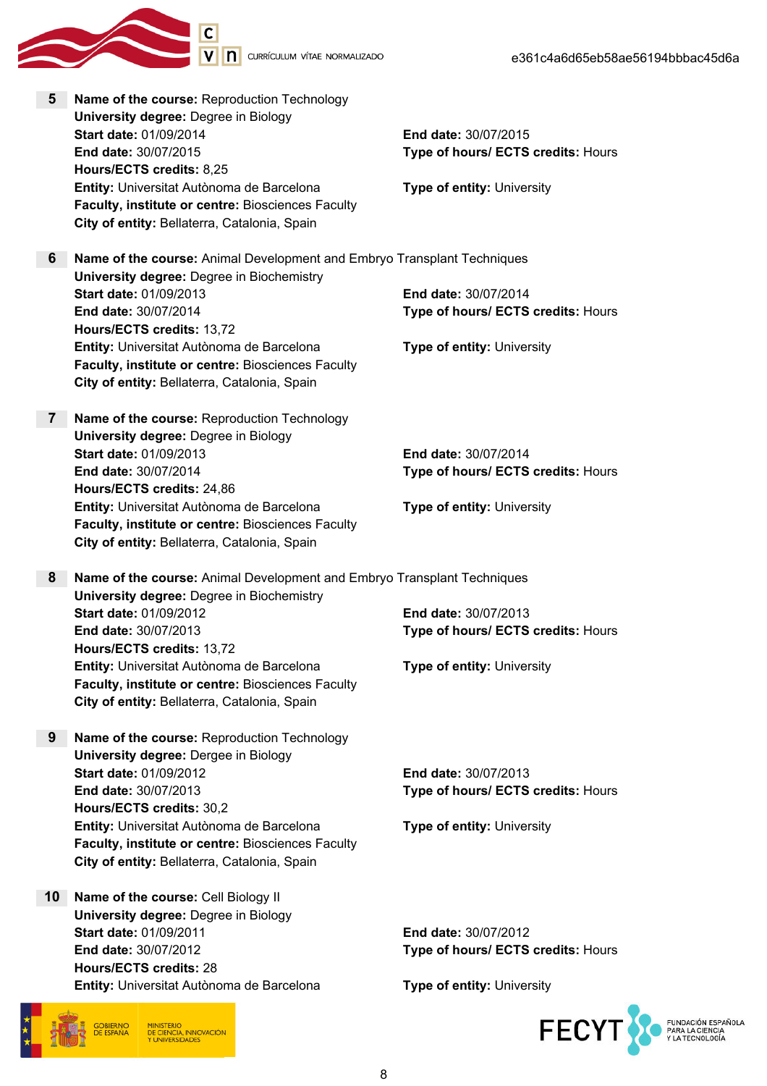

5 Name of the course: Reproduction Technology University degree: Degree in Biology Start date: 01/09/2014 End date: 30/07/2015 End date: 30/07/2015 Type of hours/ ECTS credits: Hours Hours/ECTS credits: 8,25 **Entity:** Universitat Autònoma de Barcelona Type of entity: University Faculty, institute or centre: Biosciences Faculty City of entity: Bellaterra, Catalonia, Spain 6 Name of the course: Animal Development and Embryo Transplant Techniques University degree: Degree in Biochemistry Start date: 01/09/2013 End date: 30/07/2014 End date: 30/07/2014 Type of hours/ ECTS credits: Hours Hours/ECTS credits: 13,72 **Entity:** Universitat Autònoma de Barcelona Type of entity: University Faculty, institute or centre: Biosciences Faculty City of entity: Bellaterra, Catalonia, Spain 7 Name of the course: Reproduction Technology University degree: Degree in Biology Start date: 01/09/2013 End date: 30/07/2014 End date: 30/07/2014 Type of hours/ ECTS credits: Hours Hours/ECTS credits: 24,86 Entity: Universitat Autònoma de Barcelona Type of entity: University Faculty, institute or centre: Biosciences Faculty City of entity: Bellaterra, Catalonia, Spain 8 Name of the course: Animal Development and Embryo Transplant Techniques University degree: Degree in Biochemistry Start date: 01/09/2012 End date: 30/07/2013 End date: 30/07/2013 Type of hours/ ECTS credits: Hours Hours/ECTS credits: 13,72 **Entity:** Universitat Autònoma de Barcelona Type of entity: University Faculty, institute or centre: Biosciences Faculty City of entity: Bellaterra, Catalonia, Spain 9 Name of the course: Reproduction Technology University degree: Dergee in Biology Start date: 01/09/2012 End date: 30/07/2013 End date: 30/07/2013 Type of hours/ ECTS credits: Hours Hours/ECTS credits: 30,2 **Entity:** Universitat Autònoma de Barcelona Type of entity: University Faculty, institute or centre: Biosciences Faculty City of entity: Bellaterra, Catalonia, Spain 10 Name of the course: Cell Biology II University degree: Degree in Biology Start date: 01/09/2011 End date: 30/07/2012 End date: 30/07/2012 Type of hours/ ECTS credits: Hours Hours/ECTS credits: 28 Entity: Universitat Autònoma de Barcelona Type of entity: University

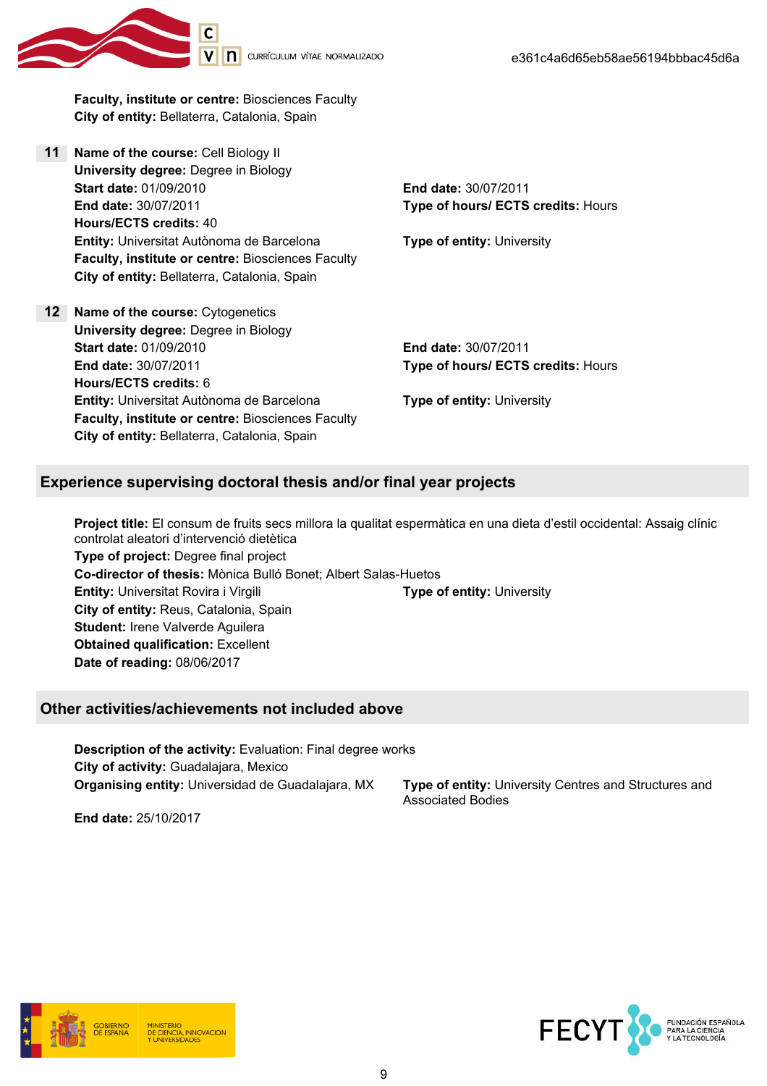

Faculty, institute or centre: Biosciences Faculty City of entity: Bellaterra, Catalonia, Spain

- 11 Name of the course: Cell Biology II University degree: Degree in Biology Start date: 01/09/2010 End date: 30/07/2011 End date: 30/07/2011 Type of hours/ ECTS credits: Hours Hours/ECTS credits: 40 **Entity:** Universitat Autònoma de Barcelona Type of entity: University Faculty, institute or centre: Biosciences Faculty City of entity: Bellaterra, Catalonia, Spain
- 12 Name of the course: Cytogenetics University degree: Degree in Biology Start date: 01/09/2010 End date: 30/07/2011 End date: 30/07/2011 Type of hours/ ECTS credits: Hours Hours/ECTS credits: 6 Entity: Universitat Autònoma de Barcelona Type of entity: University Faculty, institute or centre: Biosciences Faculty City of entity: Bellaterra, Catalonia, Spain

## Experience supervising doctoral thesis and/or final year projects

Project title: El consum de fruits secs millora la qualitat espermàtica en una dieta d'estil occidental: Assaig clínic controlat aleatori d'intervenció dietètica Type of project: Degree final project Co-director of thesis: Mònica Bulló Bonet; Albert Salas-Huetos **Entity:** Universitat Rovira i Virgili **The Contract Contract Prope of entity:** University City of entity: Reus, Catalonia, Spain Student: Irene Valverde Aguilera Obtained qualification: Excellent Date of reading: 08/06/2017

#### Other activities/achievements not included above

Description of the activity: Evaluation: Final degree works City of activity: Guadalajara, Mexico **Organising entity:** Universidad de Guadalajara, MX **Type of entity:** University Centres and Structures and

Associated Bodies

End date: 25/10/2017



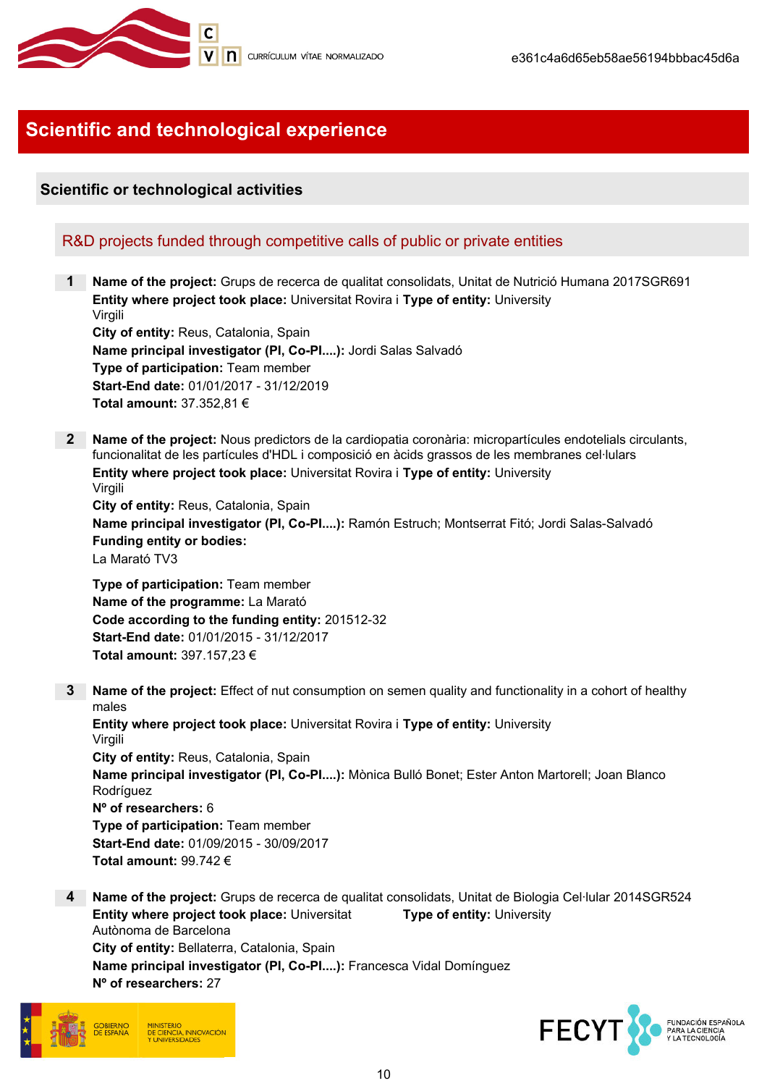

# Scientific and technological experience

# Scientific or technological activities

## R&D projects funded through competitive calls of public or private entities

1 Name of the project: Grups de recerca de qualitat consolidats, Unitat de Nutrició Humana 2017SGR691 Entity where project took place: Universitat Rovira i Type of entity: University Virgili City of entity: Reus, Catalonia, Spain Name principal investigator (PI, Co-PI....): Jordi Salas Salvadó Type of participation: Team member Start-End date: 01/01/2017 - 31/12/2019

Total amount: 37.352,81 €

2 Name of the project: Nous predictors de la cardiopatia coronària: micropartícules endotelials circulants, funcionalitat de les partícules d'HDL i composició en àcids grassos de les membranes cel·lulars Entity where project took place: Universitat Rovira i Type of entity: University Virgili

City of entity: Reus, Catalonia, Spain Name principal investigator (PI, Co-PI....): Ramón Estruch; Montserrat Fitó; Jordi Salas-Salvadó Funding entity or bodies: La Marató TV3

Type of participation: Team member Name of the programme: La Marató Code according to the funding entity: 201512-32 Start-End date: 01/01/2015 - 31/12/2017 Total amount: 397.157,23 €

3 Name of the project: Effect of nut consumption on semen quality and functionality in a cohort of healthy males

Entity where project took place: Universitat Rovira i Type of entity: University Virgili City of entity: Reus, Catalonia, Spain Name principal investigator (PI, Co-PI....): Mònica Bulló Bonet; Ester Anton Martorell; Joan Blanco Rodríguez Nº of researchers: 6 Type of participation: Team member Start-End date: 01/09/2015 - 30/09/2017 Total amount: 99.742 €

4 Name of the project: Grups de recerca de qualitat consolidats, Unitat de Biologia Cel·lular 2014SGR524 Entity where project took place: Universitat Autònoma de Barcelona Type of entity: University City of entity: Bellaterra, Catalonia, Spain Name principal investigator (PI, Co-PI....): Francesca Vidal Domínguez Nº of researchers: 27



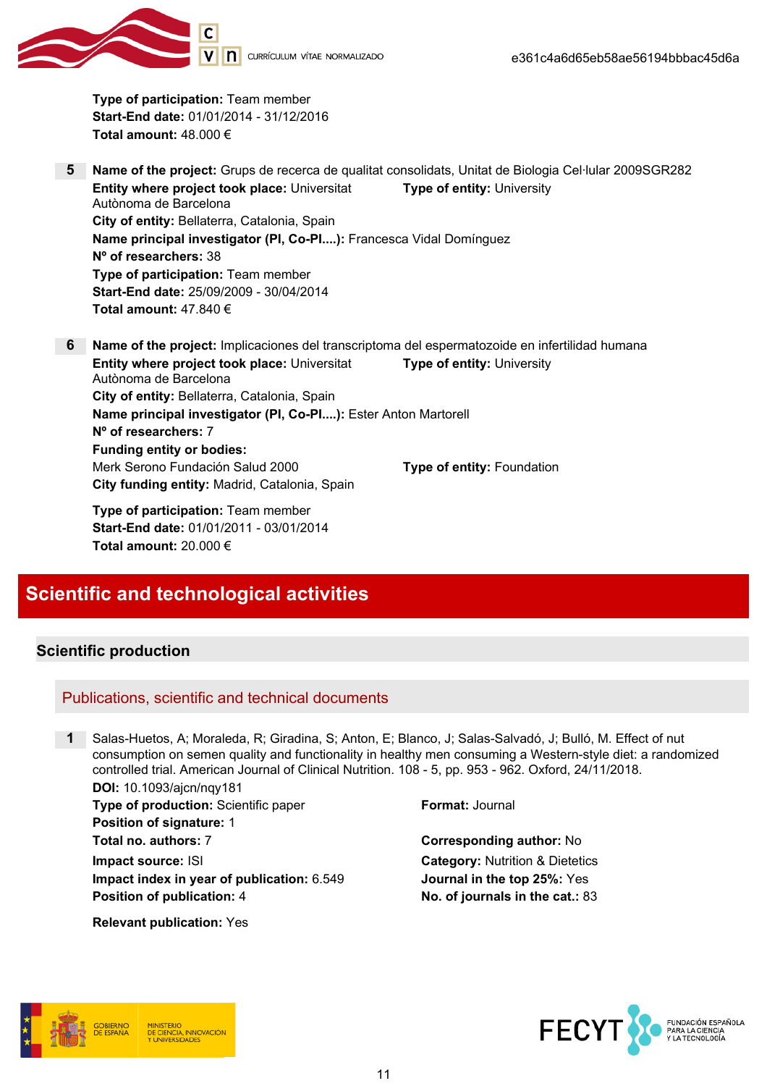Type of participation: Team member Start-End date: 01/01/2014 - 31/12/2016 Total amount: 48.000 €

- 5 Name of the project: Grups de recerca de qualitat consolidats, Unitat de Biologia Cel·lular 2009SGR282 Entity where project took place: Universitat Autònoma de Barcelona Type of entity: University City of entity: Bellaterra, Catalonia, Spain Name principal investigator (PI, Co-PI....): Francesca Vidal Domínguez Nº of researchers: 38 Type of participation: Team member Start-End date: 25/09/2009 - 30/04/2014 Total amount: 47.840 €
- 6 Name of the project: Implicaciones del transcriptoma del espermatozoide en infertilidad humana Entity where project took place: Universitat Autònoma de Barcelona Type of entity: University City of entity: Bellaterra, Catalonia, Spain Name principal investigator (PI, Co-PI....): Ester Anton Martorell Nº of researchers: 7 Funding entity or bodies: Merk Serono Fundación Salud 2000 Type of entity: Foundation City funding entity: Madrid, Catalonia, Spain

Type of participation: Team member Start-End date: 01/01/2011 - 03/01/2014 Total amount: 20.000 €

# Scientific and technological activities

## Scientific production

#### Publications, scientific and technical documents

1 Salas-Huetos, A; Moraleda, R; Giradina, S; Anton, E; Blanco, J; Salas-Salvadó, J; Bulló, M. Effect of nut consumption on semen quality and functionality in healthy men consuming a Western-style diet: a randomized controlled trial. American Journal of Clinical Nutrition. 108 - 5, pp. 953 - 962. Oxford, 24/11/2018. DOI: 10.1093/ajcn/nqy181

**Type of production:** Scientific paper Format: Journal Position of signature: 1 Total no. authors: 7 Corresponding author: No **Impact source: ISI** Category: Nutrition & Dietetics Impact index in year of publication: 6.549 Journal in the top 25%: Yes Position of publication: 4 No. of journals in the cat.: 83

Relevant publication: Yes





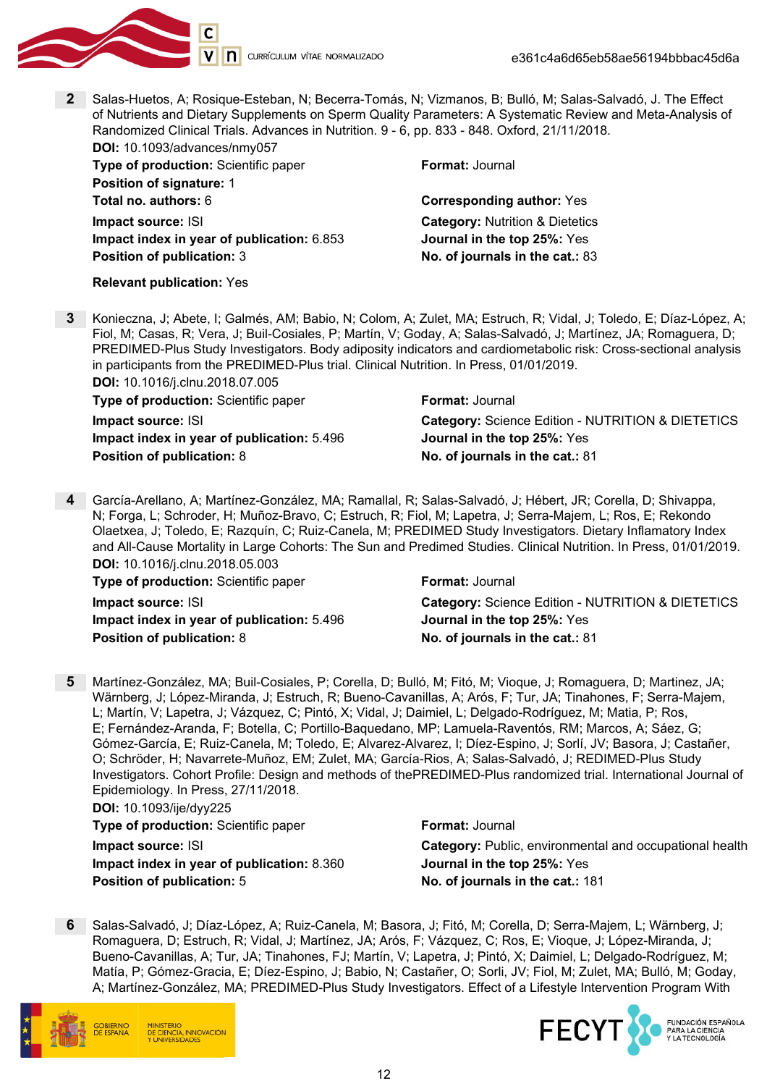

Relevant publication: Yes

2 Salas-Huetos, A; Rosique-Esteban, N; Becerra-Tomás, N; Vizmanos, B; Bulló, M; Salas-Salvadó, J. The Effect of Nutrients and Dietary Supplements on Sperm Quality Parameters: A Systematic Review and Meta-Analysis of Randomized Clinical Trials. Advances in Nutrition. 9 - 6, pp. 833 - 848. Oxford, 21/11/2018.

| <b>DOI:</b> 10.1093/advances/nmy057        |                                            |
|--------------------------------------------|--------------------------------------------|
| Type of production: Scientific paper       | <b>Format: Journal</b>                     |
| <b>Position of signature: 1</b>            |                                            |
| <b>Total no. authors: 6</b>                | <b>Corresponding author: Yes</b>           |
| Impact source: ISI                         | <b>Category: Nutrition &amp; Dietetics</b> |
| Impact index in year of publication: 6.853 | Journal in the top 25%: Yes                |
| <b>Position of publication: 3</b>          | No. of journals in the cat.: 83            |
|                                            |                                            |

3 Konieczna, J; Abete, I; Galmés, AM; Babio, N; Colom, A; Zulet, MA; Estruch, R; Vidal, J; Toledo, E; Díaz-López, A; Fiol, M; Casas, R; Vera, J; Buil-Cosiales, P; Martín, V; Goday, A; Salas-Salvadó, J; Martínez, JA; Romaguera, D; PREDIMED-Plus Study Investigators. Body adiposity indicators and cardiometabolic risk: Cross-sectional analysis in participants from the PREDIMED-Plus trial. Clinical Nutrition. In Press, 01/01/2019. DOI: 10.1016/j.clnu.2018.07.005

| <b>POI.</b> 10.1010/10110.2010.01.000      |                                                   |
|--------------------------------------------|---------------------------------------------------|
| Type of production: Scientific paper       | <b>Format: Journal</b>                            |
| Impact source: ISI                         | Category: Science Edition - NUTRITION & DIETETICS |
| Impact index in year of publication: 5.496 | <b>Journal in the top 25%: Yes</b>                |
| <b>Position of publication: 8</b>          | No. of journals in the cat.: 81                   |

4 García-Arellano, A; Martínez-González, MA; Ramallal, R; Salas-Salvadó, J; Hébert, JR; Corella, D; Shivappa, N; Forga, L; Schroder, H; Muñoz-Bravo, C; Estruch, R; Fiol, M; Lapetra, J; Serra-Majem, L; Ros, E; Rekondo Olaetxea, J; Toledo, E; Razquín, C; Ruiz-Canela, M; PREDIMED Study Investigators. Dietary Inflamatory Index and All-Cause Mortality in Large Cohorts: The Sun and Predimed Studies. Clinical Nutrition. In Press, 01/01/2019. DOI: 10.1016/j.clnu.2018.05.003

| <b>Type of production: Scientific paper</b> | <b>Format: Journal</b>                            |
|---------------------------------------------|---------------------------------------------------|
| <b>Impact source: ISI</b>                   | Category: Science Edition - NUTRITION & DIETETICS |
| Impact index in year of publication: 5.496  | <b>Journal in the top 25%: Yes</b>                |
| <b>Position of publication: 8</b>           | No. of journals in the cat.: 81                   |

5 Martínez-González, MA; Buil-Cosiales, P; Corella, D; Bulló, M; Fitó, M; Vioque, J; Romaguera, D; Martinez, JA; Wärnberg, J; López-Miranda, J; Estruch, R; Bueno-Cavanillas, A; Arós, F; Tur, JA; Tinahones, F; Serra-Majem, L; Martín, V; Lapetra, J; Vázquez, C; Pintó, X; Vidal, J; Daimiel, L; Delgado-Rodríguez, M; Matia, P; Ros, E; Fernández-Aranda, F; Botella, C; Portillo-Baquedano, MP; Lamuela-Raventós, RM; Marcos, A; Sáez, G; Gómez-García, E; Ruiz-Canela, M; Toledo, E; Alvarez-Alvarez, I; Díez-Espino, J; Sorlí, JV; Basora, J; Castañer, O; Schröder, H; Navarrete-Muñoz, EM; Zulet, MA; García-Rios, A; Salas-Salvadó, J; REDIMED-Plus Study Investigators. Cohort Profile: Design and methods of thePREDIMED-Plus randomized trial. International Journal of Epidemiology. In Press, 27/11/2018.

DOI: 10.1093/ije/dyy225 **Type of production:** Scientific paper Format: Journal

Impact index in year of publication: 8.360 Journal in the top 25%: Yes Position of publication: 5 No. of journals in the cat.: 181

**Impact source: ISI** Category: Public, environmental and occupational health

6 Salas-Salvadó, J; Díaz-López, A; Ruiz-Canela, M; Basora, J; Fitó, M; Corella, D; Serra-Majem, L; Wärnberg, J; Romaguera, D; Estruch, R; Vidal, J; Martínez, JA; Arós, F; Vázquez, C; Ros, E; Vioque, J; López-Miranda, J; Bueno-Cavanillas, A; Tur, JA; Tinahones, FJ; Martín, V; Lapetra, J; Pintó, X; Daimiel, L; Delgado-Rodríguez, M; Matía, P; Gómez-Gracia, E; Díez-Espino, J; Babio, N; Castañer, O; Sorli, JV; Fiol, M; Zulet, MA; Bulló, M; Goday, A; Martínez-González, MA; PREDIMED-Plus Study Investigators. Effect of a Lifestyle Intervention Program With



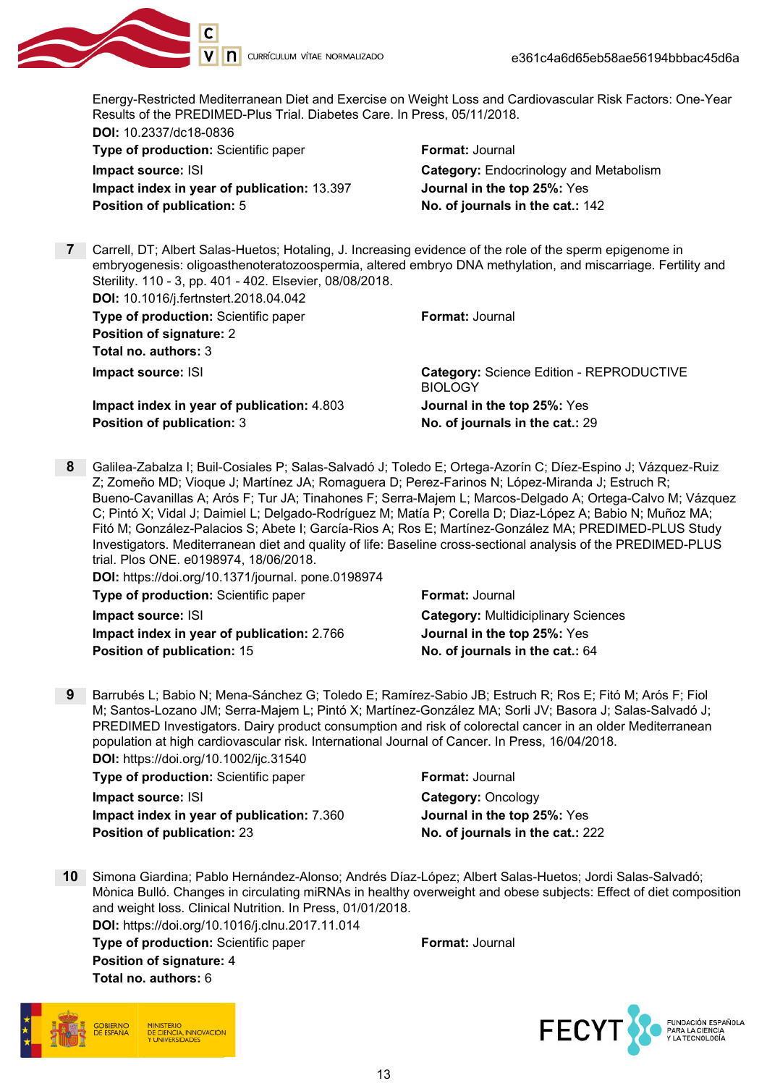

Energy-Restricted Mediterranean Diet and Exercise on Weight Loss and Cardiovascular Risk Factors: One-Year Results of the PREDIMED-Plus Trial. Diabetes Care. In Press, 05/11/2018.

DOI: 10.2337/dc18-0836 Type of production: Scientific paper Format: Journal **Impact source: ISI** Category: Endocrinology and Metabolism Impact index in year of publication: 13.397 Journal in the top 25%: Yes Position of publication: 5 No. of journals in the cat.: 142

7 Carrell, DT; Albert Salas-Huetos; Hotaling, J. Increasing evidence of the role of the sperm epigenome in embryogenesis: oligoasthenoteratozoospermia, altered embryo DNA methylation, and miscarriage. Fertility and Sterility. 110 - 3, pp. 401 - 402. Elsevier, 08/08/2018.

DOI: 10.1016/j.fertnstert.2018.04.042

Type of production: Scientific paper Format: Journal Position of signature: 2 Total no. authors: 3

Impact index in year of publication: 4.803 Journal in the top 25%: Yes Position of publication: 3 No. of journals in the cat.: 29

**Impact source: ISI** Category: Science Edition - REPRODUCTIVE **BIOLOGY** 

8 Galilea-Zabalza I; Buil-Cosiales P; Salas-Salvadó J; Toledo E; Ortega-Azorín C; Díez-Espino J; Vázquez-Ruiz Z; Zomeño MD; Vioque J; Martínez JA; Romaguera D; Perez-Farinos N; López-Miranda J; Estruch R; Bueno-Cavanillas A; Arós F; Tur JA; Tinahones F; Serra-Majem L; Marcos-Delgado A; Ortega-Calvo M; Vázquez C; Pintó X; Vidal J; Daimiel L; Delgado-Rodríguez M; Matía P; Corella D; Diaz-López A; Babio N; Muñoz MA; Fitó M; González-Palacios S; Abete I; García-Rios A; Ros E; Martínez-González MA; PREDIMED-PLUS Study Investigators. Mediterranean diet and quality of life: Baseline cross-sectional analysis of the PREDIMED-PLUS trial. Plos ONE. e0198974, 18/06/2018.

| <b>DOI:</b> https://doi.org/10.1371/journal. pone.0198974 |                                            |
|-----------------------------------------------------------|--------------------------------------------|
| Type of production: Scientific paper                      | <b>Format: Journal</b>                     |
| Impact source: ISI                                        | <b>Category: Multidiciplinary Sciences</b> |
| Impact index in year of publication: 2.766                | Journal in the top 25%: Yes                |
| <b>Position of publication: 15</b>                        | No. of journals in the cat.: 64            |

9 Barrubés L; Babio N; Mena-Sánchez G; Toledo E; Ramírez-Sabio JB; Estruch R; Ros E; Fitó M; Arós F; Fiol M; Santos-Lozano JM; Serra-Majem L; Pintó X; Martínez-González MA; Sorli JV; Basora J; Salas-Salvadó J; PREDIMED Investigators. Dairy product consumption and risk of colorectal cancer in an older Mediterranean population at high cardiovascular risk. International Journal of Cancer. In Press, 16/04/2018.

DOI: https://doi.org/10.1002/ijc.31540 **Type of production:** Scientific paper Format: Journal **Impact source: ISI** Category: Oncology Impact index in year of publication: 7.360 Journal in the top 25%: Yes Position of publication: 23 No. of journals in the cat.: 222

10 Simona Giardina; Pablo Hernández-Alonso; Andrés Díaz-López; Albert Salas-Huetos; Jordi Salas-Salvadó; Mònica Bulló. Changes in circulating miRNAs in healthy overweight and obese subjects: Effect of diet composition and weight loss. Clinical Nutrition. In Press, 01/01/2018.

DOI: https://doi.org/10.1016/j.clnu.2017.11.014 **Type of production:** Scientific paper Format: Journal Position of signature: 4 Total no. authors: 6



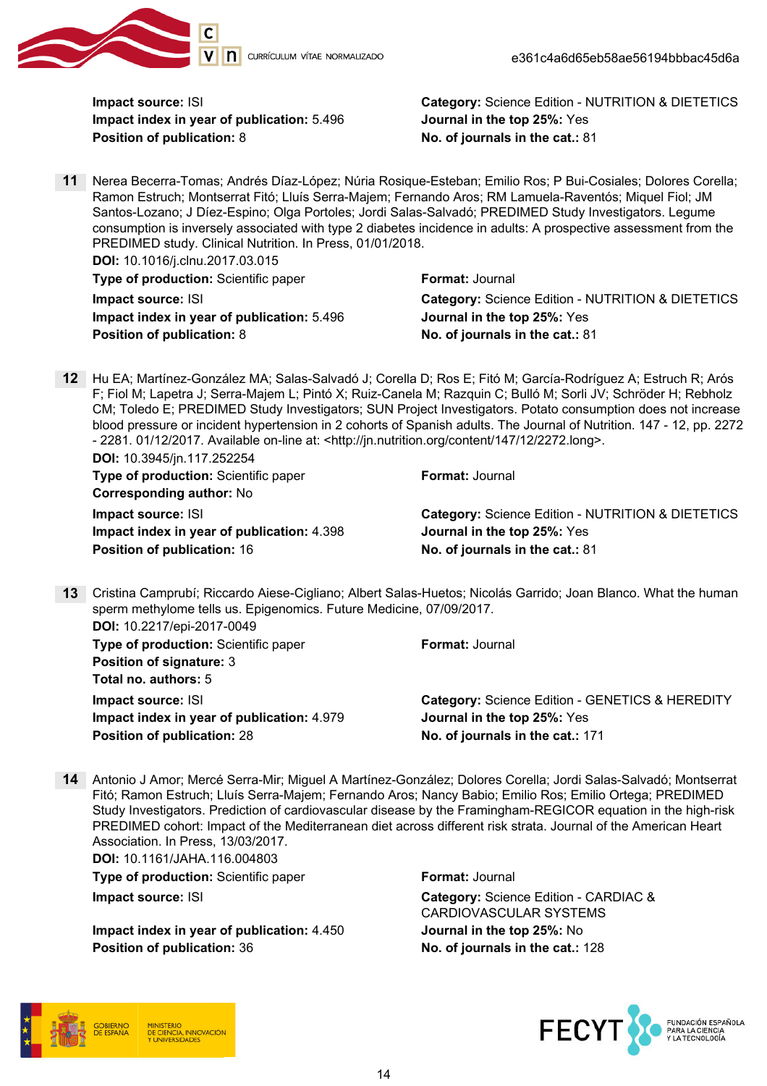

Impact index in year of publication: 5.496 Journal in the top 25%: Yes Position of publication: 8 No. of journals in the cat.: 81

**Impact source: ISI** Category: Science Edition - NUTRITION & DIETETICS

11 Nerea Becerra-Tomas; Andrés Díaz-López; Núria Rosique-Esteban; Emilio Ros; P Bui-Cosiales; Dolores Corella; Ramon Estruch; Montserrat Fitó; Lluís Serra-Majem; Fernando Aros; RM Lamuela-Raventós; Miquel Fiol; JM Santos-Lozano; J Díez-Espino; Olga Portoles; Jordi Salas-Salvadó; PREDIMED Study Investigators. Legume consumption is inversely associated with type 2 diabetes incidence in adults: A prospective assessment from the PREDIMED study. Clinical Nutrition. In Press, 01/01/2018.

DOI: 10.1016/j.clnu.2017.03.015 **Type of production:** Scientific paper Format: Journal Impact index in year of publication: 5.496 Journal in the top 25%: Yes Position of publication: 8 No. of journals in the cat.: 81

**Impact source: ISI** Category: Science Edition - NUTRITION & DIETETICS

12 Hu EA; Martínez-González MA; Salas-Salvadó J; Corella D; Ros E; Fitó M; García-Rodríguez A; Estruch R; Arós F; Fiol M; Lapetra J; Serra-Majem L; Pintó X; Ruiz-Canela M; Razquin C; Bulló M; Sorli JV; Schröder H; Rebholz CM; Toledo E; PREDIMED Study Investigators; SUN Project Investigators. Potato consumption does not increase blood pressure or incident hypertension in 2 cohorts of Spanish adults. The Journal of Nutrition. 147 - 12, pp. 2272 - 2281. 01/12/2017. Available on-line at: <http://jn.nutrition.org/content/147/12/2272.long>.

DOI: 10.3945/jn.117.252254

| <b>Type of production: Scientific paper</b> | <b>Format: Journal</b>                            |
|---------------------------------------------|---------------------------------------------------|
| <b>Corresponding author: No</b>             |                                                   |
| Impact source: ISI                          | Category: Science Edition - NUTRITION & DIETETICS |
| Impact index in year of publication: 4.398  | Journal in the top 25%: Yes                       |
| <b>Position of publication: 16</b>          | No. of journals in the cat.: 81                   |
|                                             |                                                   |

13 Cristina Camprubí; Riccardo Aiese-Cigliano; Albert Salas-Huetos; Nicolás Garrido; Joan Blanco. What the human sperm methylome tells us. Epigenomics. Future Medicine, 07/09/2017. DOI: 10.2217/epi-2017-0049 **Type of production:** Scientific paper Format: Journal Position of signature: 3

Total no. authors: 5 Impact index in year of publication: 4.979 Journal in the top 25%: Yes Position of publication: 28 No. of journals in the cat.: 171

**Impact source: ISI** Category: Science Edition - GENETICS & HEREDITY

14 Antonio J Amor; Mercé Serra-Mir; Miguel A Martínez-González; Dolores Corella; Jordi Salas-Salvadó; Montserrat Fitó; Ramon Estruch; Lluís Serra-Majem; Fernando Aros; Nancy Babio; Emilio Ros; Emilio Ortega; PREDIMED Study Investigators. Prediction of cardiovascular disease by the Framingham-REGICOR equation in the high-risk PREDIMED cohort: Impact of the Mediterranean diet across different risk strata. Journal of the American Heart Association. In Press, 13/03/2017.

DOI: 10.1161/JAHA.116.004803 **Type of production:** Scientific paper Format: Journal

Impact index in year of publication: 4.450 Journal in the top 25%: No **Position of publication: 36 No. of journals in the cat.: 128** 

**Impact source: ISI Category: Science Edition - CARDIAC &** CARDIOVASCULAR SYSTEMS



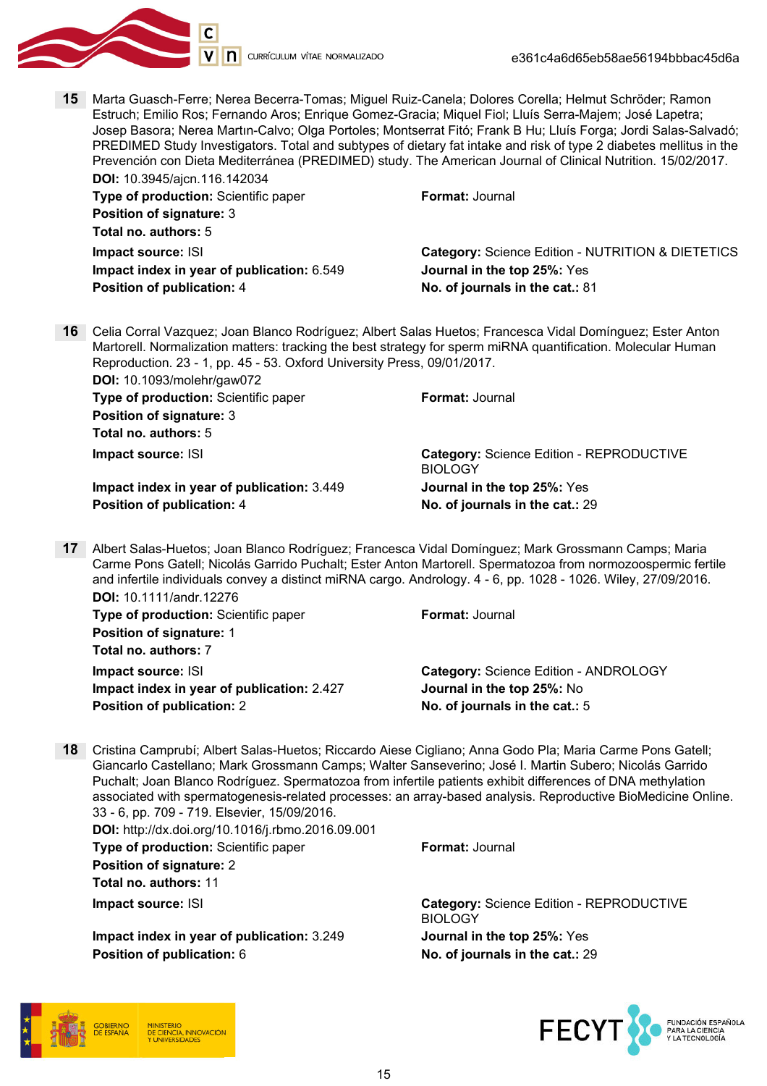

15 Marta Guasch-Ferre; Nerea Becerra-Tomas; Miguel Ruiz-Canela; Dolores Corella; Helmut Schröder; Ramon Estruch; Emilio Ros; Fernando Aros; Enrique Gomez-Gracia; Miquel Fiol; Lluís Serra-Majem; José Lapetra; Josep Basora; Nerea Martın-Calvo; Olga Portoles; Montserrat Fitó; Frank B Hu; Lluís Forga; Jordi Salas-Salvadó; PREDIMED Study Investigators. Total and subtypes of dietary fat intake and risk of type 2 diabetes mellitus in the Prevención con Dieta Mediterránea (PREDIMED) study. The American Journal of Clinical Nutrition. 15/02/2017. DOI: 10.3945/ajcn.116.142034

Type of production: Scientific paper Format: Journal Position of signature: 3 Total no. authors: 5

Impact index in year of publication: 6.549 Journal in the top 25%: Yes Position of publication: 4 No. of journals in the cat.: 81

**Impact source: ISI** Category: Science Edition - NUTRITION & DIETETICS

16 Celia Corral Vazquez; Joan Blanco Rodríguez; Albert Salas Huetos; Francesca Vidal Domínguez; Ester Anton Martorell. Normalization matters: tracking the best strategy for sperm miRNA quantification. Molecular Human Reproduction. 23 - 1, pp. 45 - 53. Oxford University Press, 09/01/2017.

DOI: 10.1093/molehr/gaw072 **Type of production:** Scientific paper Format: Journal Position of signature: 3 Total no. authors: 5

Impact index in year of publication: 3.449 Journal in the top 25%: Yes Position of publication: 4 No. of journals in the cat.: 29

Impact source: ISI Category: Science Edition - REPRODUCTIVE BIOLOGY

17 Albert Salas-Huetos; Joan Blanco Rodríguez; Francesca Vidal Domínguez; Mark Grossmann Camps; Maria Carme Pons Gatell; Nicolás Garrido Puchalt; Ester Anton Martorell. Spermatozoa from normozoospermic fertile and infertile individuals convey a distinct miRNA cargo. Andrology. 4 - 6, pp. 1028 - 1026. Wiley, 27/09/2016. DOI: 10.1111/andr.12276

**Type of production:** Scientific paper Format: Journal Position of signature: 1 Total no. authors: 7

Impact index in year of publication: 2.427 Journal in the top 25%: No Position of publication: 2 No. of journals in the cat.: 5

**Impact source: ISI** Category: Science Edition - ANDROLOGY

18 Cristina Camprubí; Albert Salas-Huetos; Riccardo Aiese Cigliano; Anna Godo Pla; Maria Carme Pons Gatell; Giancarlo Castellano; Mark Grossmann Camps; Walter Sanseverino; José I. Martin Subero; Nicolás Garrido Puchalt; Joan Blanco Rodríguez. Spermatozoa from infertile patients exhibit differences of DNA methylation associated with spermatogenesis-related processes: an array-based analysis. Reproductive BioMedicine Online. 33 - 6, pp. 709 - 719. Elsevier, 15/09/2016.

DOI: http://dx.doi.org/10.1016/j.rbmo.2016.09.001 Type of production: Scientific paper Format: Journal Position of signature: 2

Total no. authors: 11

Impact index in year of publication: 3.249 Journal in the top 25%: Yes Position of publication: 6 No. of journals in the cat.: 29

Impact source: ISI Category: Science Edition - REPRODUCTIVE BIOLOGY



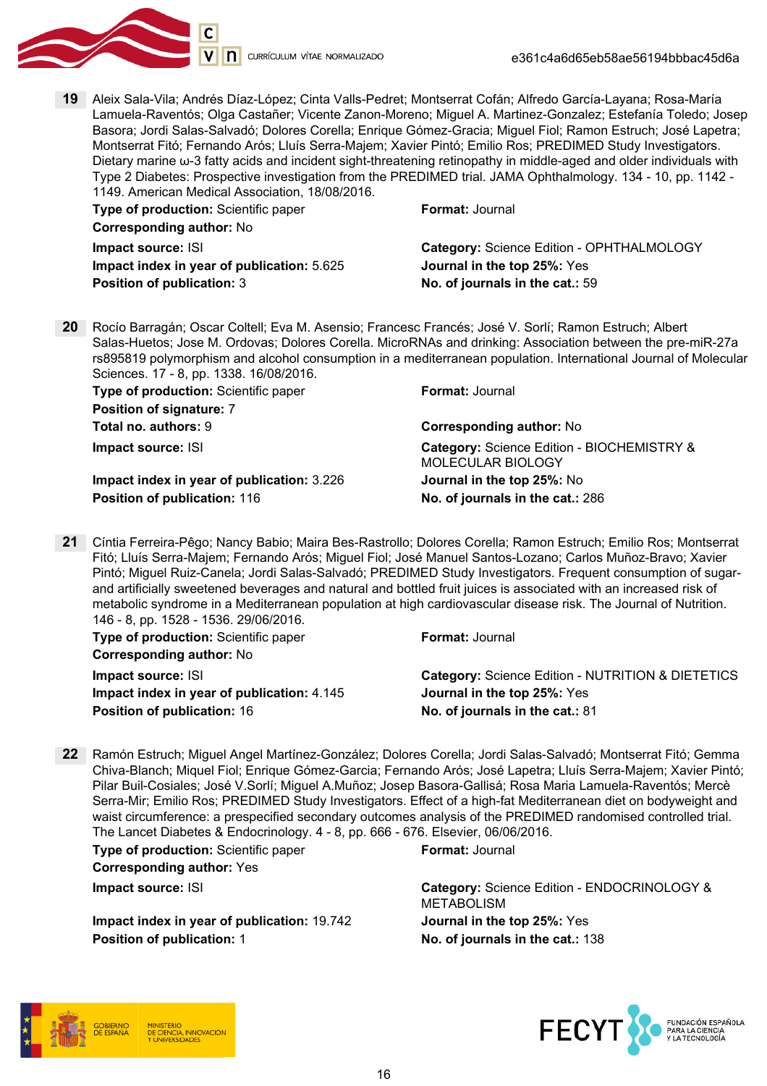

19 Aleix Sala-Vila; Andrés Díaz-López; Cinta Valls-Pedret; Montserrat Cofán; Alfredo García-Layana; Rosa-María Lamuela-Raventós; Olga Castañer; Vicente Zanon-Moreno; Miguel A. Martinez-Gonzalez; Estefanía Toledo; Josep Basora; Jordi Salas-Salvadó; Dolores Corella; Enrique Gómez-Gracia; Miguel Fiol; Ramon Estruch; José Lapetra; Montserrat Fitó; Fernando Arós; Lluís Serra-Majem; Xavier Pintó; Emilio Ros; PREDIMED Study Investigators. Dietary marine ω-3 fatty acids and incident sight-threatening retinopathy in middle-aged and older individuals with Type 2 Diabetes: Prospective investigation from the PREDIMED trial. JAMA Ophthalmology. 134 - 10, pp. 1142 - 1149. American Medical Association, 18/08/2016.

| Type of production: Scientific paper       | Format: Journal                           |
|--------------------------------------------|-------------------------------------------|
| <b>Corresponding author: No</b>            |                                           |
| Impact source: ISI                         | Category: Science Edition - OPHTHALMOLOGY |
| Impact index in year of publication: 5.625 | Journal in the top 25%: Yes               |
| <b>Position of publication: 3</b>          | No. of journals in the cat.: 59           |

20 Rocío Barragán; Oscar Coltell; Eva M. Asensio; Francesc Francés; José V. Sorlí; Ramon Estruch; Albert Salas-Huetos; Jose M. Ordovas; Dolores Corella. MicroRNAs and drinking: Association between the pre-miR-27a rs895819 polymorphism and alcohol consumption in a mediterranean population. International Journal of Molecular Sciences. 17 - 8, pp. 1338. 16/08/2016.

| Type of production: Scientific paper<br>Position of signature: 7 | <b>Format: Journal</b>                                          |
|------------------------------------------------------------------|-----------------------------------------------------------------|
| <b>Total no. authors: 9</b>                                      | <b>Corresponding author: No</b>                                 |
| Impact source: ISI                                               | Category: Science Edition - BIOCHEMISTRY &<br>MOLECULAR BIOLOGY |
| Impact index in year of publication: 3.226                       | Journal in the top 25%: No                                      |
| Position of publication: 116                                     | No. of journals in the cat.: 286                                |

21 Cíntia Ferreira-Pêgo; Nancy Babio; Maira Bes-Rastrollo; Dolores Corella; Ramon Estruch; Emilio Ros; Montserrat Fitó; Lluís Serra-Majem; Fernando Arós; Miguel Fiol; José Manuel Santos-Lozano; Carlos Muñoz-Bravo; Xavier Pintó; Miguel Ruiz-Canela; Jordi Salas-Salvadó; PREDIMED Study Investigators. Frequent consumption of sugarand artificially sweetened beverages and natural and bottled fruit juices is associated with an increased risk of metabolic syndrome in a Mediterranean population at high cardiovascular disease risk. The Journal of Nutrition. 146 - 8, pp. 1528 - 1536. 29/06/2016.

| <b>Type of production:</b> Scientific paper | <b>Format: Journal</b>                            |
|---------------------------------------------|---------------------------------------------------|
| <b>Corresponding author: No</b>             |                                                   |
| Impact source: ISI                          | Category: Science Edition - NUTRITION & DIETETICS |
| Impact index in year of publication: 4.145  | Journal in the top 25%: Yes                       |
| <b>Position of publication: 16</b>          | No. of journals in the cat.: 81                   |

22 Ramón Estruch; Miguel Angel Martínez-González; Dolores Corella; Jordi Salas-Salvadó; Montserrat Fitó; Gemma Chiva-Blanch; Miquel Fiol; Enrique Gómez-Garcia; Fernando Arós; José Lapetra; Lluís Serra-Majem; Xavier Pintó; Pilar Buil-Cosiales; José V.Sorlí; Miguel A.Muñoz; Josep Basora-Gallisá; Rosa Maria Lamuela-Raventós; Mercè Serra-Mir; Emilio Ros; PREDIMED Study Investigators. Effect of a high-fat Mediterranean diet on bodyweight and waist circumference: a prespecified secondary outcomes analysis of the PREDIMED randomised controlled trial. The Lancet Diabetes & Endocrinology. 4 - 8, pp. 666 - 676. Elsevier, 06/06/2016.

**Type of production:** Scientific paper Format: Journal

Corresponding author: Yes

Impact index in year of publication: 19.742 Journal in the top 25%: Yes **Position of publication: 1** No. of journals in the cat.: 138

Impact source: ISI Category: Science Edition - ENDOCRINOLOGY & METABOLISM



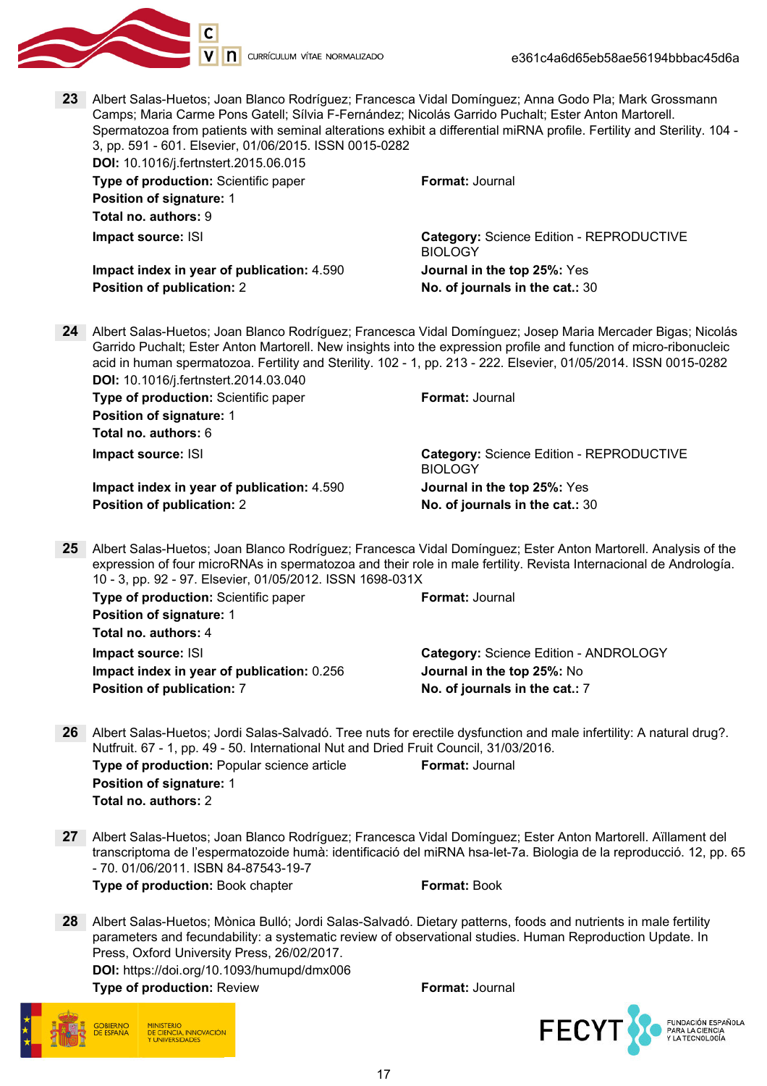

| 23 | Albert Salas-Huetos; Joan Blanco Rodríguez; Francesca Vidal Domínguez; Anna Godo Pla; Mark Grossmann<br>Camps; Maria Carme Pons Gatell; Sílvia F-Fernández; Nicolás Garrido Puchalt; Ester Anton Martorell.<br>Spermatozoa from patients with seminal alterations exhibit a differential miRNA profile. Fertility and Sterility. 104 -<br>3, pp. 591 - 601. Elsevier, 01/06/2015. ISSN 0015-0282<br>DOI: 10.1016/j.fertnstert.2015.06.015 |                                                                                                                    |
|----|-------------------------------------------------------------------------------------------------------------------------------------------------------------------------------------------------------------------------------------------------------------------------------------------------------------------------------------------------------------------------------------------------------------------------------------------|--------------------------------------------------------------------------------------------------------------------|
|    |                                                                                                                                                                                                                                                                                                                                                                                                                                           | <b>Format: Journal</b>                                                                                             |
|    | Type of production: Scientific paper                                                                                                                                                                                                                                                                                                                                                                                                      |                                                                                                                    |
|    | <b>Position of signature: 1</b>                                                                                                                                                                                                                                                                                                                                                                                                           |                                                                                                                    |
|    | Total no. authors: 9                                                                                                                                                                                                                                                                                                                                                                                                                      |                                                                                                                    |
|    | Impact source: ISI                                                                                                                                                                                                                                                                                                                                                                                                                        | Category: Science Edition - REPRODUCTIVE<br><b>BIOLOGY</b>                                                         |
|    | Impact index in year of publication: 4.590                                                                                                                                                                                                                                                                                                                                                                                                | Journal in the top 25%: Yes                                                                                        |
|    | <b>Position of publication: 2</b>                                                                                                                                                                                                                                                                                                                                                                                                         | No. of journals in the cat.: 30                                                                                    |
|    |                                                                                                                                                                                                                                                                                                                                                                                                                                           |                                                                                                                    |
| 24 | Albert Salas-Huetos; Joan Blanco Rodríguez; Francesca Vidal Domínguez; Josep Maria Mercader Bigas; Nicolás<br>Garrido Puchalt; Ester Anton Martorell. New insights into the expression profile and function of micro-ribonucleic<br>acid in human spermatozoa. Fertility and Sterility. 102 - 1, pp. 213 - 222. Elsevier, 01/05/2014. ISSN 0015-0282<br>DOI: 10.1016/j.fertnstert.2014.03.040                                             |                                                                                                                    |
|    | Type of production: Scientific paper                                                                                                                                                                                                                                                                                                                                                                                                      | Format: Journal                                                                                                    |
|    | <b>Position of signature: 1</b>                                                                                                                                                                                                                                                                                                                                                                                                           |                                                                                                                    |
|    | Total no. authors: 6                                                                                                                                                                                                                                                                                                                                                                                                                      |                                                                                                                    |
|    | Impact source: ISI                                                                                                                                                                                                                                                                                                                                                                                                                        | Category: Science Edition - REPRODUCTIVE                                                                           |
|    |                                                                                                                                                                                                                                                                                                                                                                                                                                           | <b>BIOLOGY</b>                                                                                                     |
|    | Impact index in year of publication: 4.590                                                                                                                                                                                                                                                                                                                                                                                                | Journal in the top 25%: Yes                                                                                        |
|    | <b>Position of publication: 2</b>                                                                                                                                                                                                                                                                                                                                                                                                         | No. of journals in the cat.: 30                                                                                    |
|    |                                                                                                                                                                                                                                                                                                                                                                                                                                           |                                                                                                                    |
| 25 | Albert Salas-Huetos; Joan Blanco Rodríguez; Francesca Vidal Domínguez; Ester Anton Martorell. Analysis of the<br>expression of four microRNAs in spermatozoa and their role in male fertility. Revista Internacional de Andrología.<br>10 - 3, pp. 92 - 97. Elsevier, 01/05/2012. ISSN 1698-031X                                                                                                                                          |                                                                                                                    |
|    | Type of production: Scientific paper                                                                                                                                                                                                                                                                                                                                                                                                      | Format: Journal                                                                                                    |
|    | <b>Position of signature: 1</b>                                                                                                                                                                                                                                                                                                                                                                                                           |                                                                                                                    |
|    | Total no. authors: 4                                                                                                                                                                                                                                                                                                                                                                                                                      |                                                                                                                    |
|    | Impact source: ISI                                                                                                                                                                                                                                                                                                                                                                                                                        | Category: Science Edition - ANDROLOGY                                                                              |
|    | Impact index in year of publication: 0.256                                                                                                                                                                                                                                                                                                                                                                                                | Journal in the top 25%: No                                                                                         |
|    | Position of publication: 7                                                                                                                                                                                                                                                                                                                                                                                                                | No. of journals in the cat.: 7                                                                                     |
|    |                                                                                                                                                                                                                                                                                                                                                                                                                                           |                                                                                                                    |
| 26 | Albert Salas-Huetos; Jordi Salas-Salvadó. Tree nuts for erectile dysfunction and male infertility: A natural drug?.<br>Nutfruit. 67 - 1, pp. 49 - 50. International Nut and Dried Fruit Council, 31/03/2016.                                                                                                                                                                                                                              |                                                                                                                    |
|    | Type of production: Popular science article                                                                                                                                                                                                                                                                                                                                                                                               | <b>Format: Journal</b>                                                                                             |
|    | Position of signature: 1                                                                                                                                                                                                                                                                                                                                                                                                                  |                                                                                                                    |
|    | Total no. authors: 2                                                                                                                                                                                                                                                                                                                                                                                                                      |                                                                                                                    |
|    |                                                                                                                                                                                                                                                                                                                                                                                                                                           |                                                                                                                    |
| 27 | Albert Salas-Huetos; Joan Blanco Rodríguez; Francesca Vidal Domínguez; Ester Anton Martorell. Aïllament del<br>- 70. 01/06/2011. ISBN 84-87543-19-7                                                                                                                                                                                                                                                                                       | transcriptoma de l'espermatozoide humà: identificació del miRNA hsa-let-7a. Biologia de la reproducció. 12, pp. 65 |
|    | Type of production: Book chapter                                                                                                                                                                                                                                                                                                                                                                                                          | Format: Book                                                                                                       |
|    |                                                                                                                                                                                                                                                                                                                                                                                                                                           |                                                                                                                    |
| 28 | Albert Salas-Huetos; Mònica Bulló; Jordi Salas-Salvadó. Dietary patterns, foods and nutrients in male fertility<br>parameters and fecundability: a systematic review of observational studies. Human Reproduction Update. In<br>Press, Oxford University Press, 26/02/2017.<br>DOI: https://doi.org/10.1093/humupd/dmx006                                                                                                                 |                                                                                                                    |

Type of production: Review Format: Journal

GOBIERNO<br>DE ESPAÑA

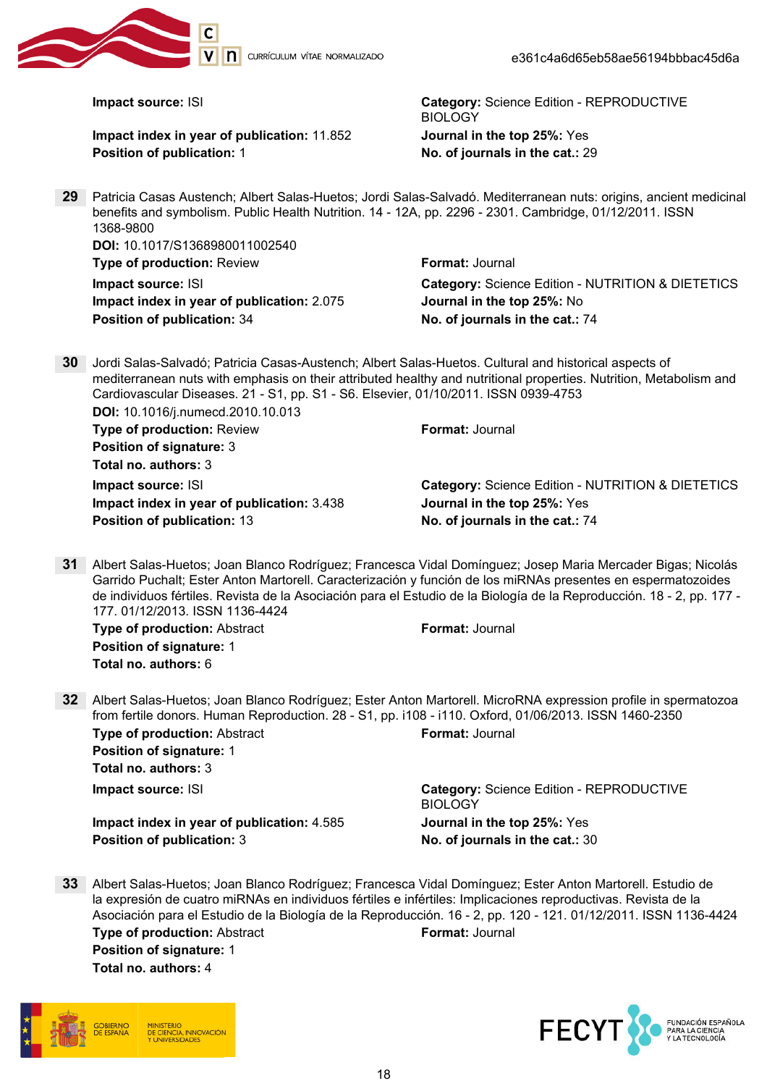

Impact index in year of publication: 11.852 Journal in the top 25%: Yes Position of publication: 1 and 1 No. of journals in the cat.: 29

**Impact source: ISI** Category: Science Edition - REPRODUCTIVE BIOLOGY

29 Patricia Casas Austench; Albert Salas-Huetos; Jordi Salas-Salvadó. Mediterranean nuts: origins, ancient medicinal benefits and symbolism. Public Health Nutrition. 14 - 12A, pp. 2296 - 2301. Cambridge, 01/12/2011. ISSN 1368-9800

| <b>Format: Journal</b>                                       |
|--------------------------------------------------------------|
| <b>Category: Science Edition - NUTRITION &amp; DIETETICS</b> |
| Journal in the top 25%: No                                   |
| No. of journals in the cat.: 74                              |
|                                                              |

30 Jordi Salas-Salvadó; Patricia Casas-Austench; Albert Salas-Huetos. Cultural and historical aspects of mediterranean nuts with emphasis on their attributed healthy and nutritional properties. Nutrition, Metabolism and Cardiovascular Diseases. 21 - S1, pp. S1 - S6. Elsevier, 01/10/2011. ISSN 0939-4753 DOI: 10.1016/j.numecd.2010.10.013

Type of production: Review Format: Journal Position of signature: 3 Total no. authors: 3

Impact index in year of publication: 3.438 Journal in the top 25%: Yes Position of publication: 13 No. of journals in the cat.: 74

**Impact source: ISI** Category: Science Edition - NUTRITION & DIETETICS

31 Albert Salas-Huetos; Joan Blanco Rodríguez; Francesca Vidal Domínguez; Josep Maria Mercader Bigas; Nicolás Garrido Puchalt; Ester Anton Martorell. Caracterización y función de los miRNAs presentes en espermatozoides de individuos fértiles. Revista de la Asociación para el Estudio de la Biología de la Reproducción. 18 - 2, pp. 177 - 177. 01/12/2013. ISSN 1136-4424

**Type of production: Abstract Format: Journal** Position of signature: 1 Total no. authors: 6

32 Albert Salas-Huetos; Joan Blanco Rodríguez; Ester Anton Martorell. MicroRNA expression profile in spermatozoa from fertile donors. Human Reproduction. 28 - S1, pp. i108 - i110. Oxford, 01/06/2013. ISSN 1460-2350 Type of production: Abstract Format: Journal

Position of signature: 1 Total no. authors: 3

Impact index in year of publication: 4.585 Journal in the top 25%: Yes Position of publication: 3 No. of journals in the cat.: 30

**Impact source: ISI** Category: Science Edition - REPRODUCTIVE **BIOLOGY** 

33 Albert Salas-Huetos; Joan Blanco Rodríguez; Francesca Vidal Domínguez; Ester Anton Martorell. Estudio de la expresión de cuatro miRNAs en individuos fértiles e infértiles: Implicaciones reproductivas. Revista de la Asociación para el Estudio de la Biología de la Reproducción. 16 - 2, pp. 120 - 121. 01/12/2011. ISSN 1136-4424 **Type of production:** Abstract **Format: Journal** Position of signature: 1

Total no. authors: 4



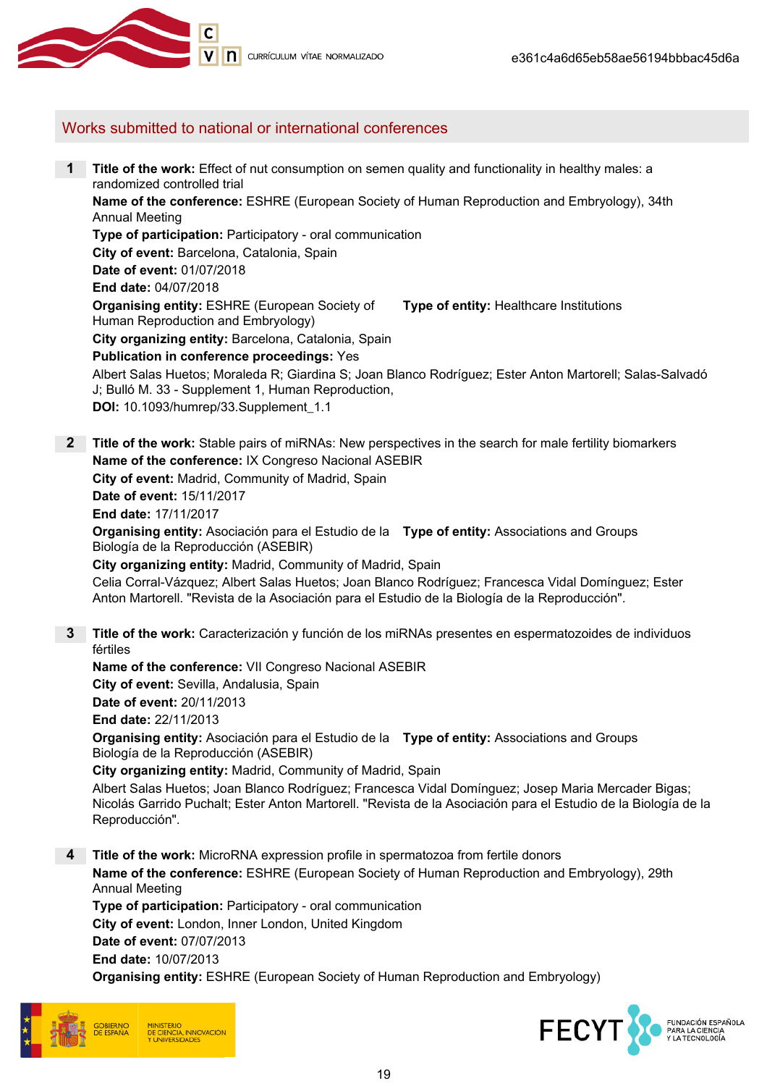

# Works submitted to national or international conferences

1 Title of the work: Effect of nut consumption on semen quality and functionality in healthy males: a randomized controlled trial Name of the conference: ESHRE (European Society of Human Reproduction and Embryology), 34th Annual Meeting Type of participation: Participatory - oral communication City of event: Barcelona, Catalonia, Spain Date of event: 01/07/2018 End date: 04/07/2018 Organising entity: ESHRE (European Society of Human Reproduction and Embryology) Type of entity: Healthcare Institutions City organizing entity: Barcelona, Catalonia, Spain Publication in conference proceedings: Yes Albert Salas Huetos; Moraleda R; Giardina S; Joan Blanco Rodríguez; Ester Anton Martorell; Salas-Salvadó J; Bulló M. 33 - Supplement 1, Human Reproduction, DOI: 10.1093/humrep/33.Supplement\_1.1 2 Title of the work: Stable pairs of miRNAs: New perspectives in the search for male fertility biomarkers Name of the conference: IX Congreso Nacional ASEBIR City of event: Madrid, Community of Madrid, Spain Date of event: 15/11/2017 End date: 17/11/2017 **Organising entity:** Asociación para el Estudio de la **Type of entity:** Associations and Groups Biología de la Reproducción (ASEBIR) City organizing entity: Madrid, Community of Madrid, Spain Celia Corral-Vázquez; Albert Salas Huetos; Joan Blanco Rodríguez; Francesca Vidal Domínguez; Ester Anton Martorell. "Revista de la Asociación para el Estudio de la Biología de la Reproducción". 3 Title of the work: Caracterización y función de los miRNAs presentes en espermatozoides de individuos fértiles Name of the conference: VII Congreso Nacional ASEBIR City of event: Sevilla, Andalusia, Spain Date of event: 20/11/2013 End date: 22/11/2013 **Organising entity:** Asociación para el Estudio de la **Type of entity:** Associations and Groups Biología de la Reproducción (ASEBIR) City organizing entity: Madrid, Community of Madrid, Spain Albert Salas Huetos; Joan Blanco Rodríguez; Francesca Vidal Domínguez; Josep Maria Mercader Bigas; Nicolás Garrido Puchalt; Ester Anton Martorell. "Revista de la Asociación para el Estudio de la Biología de la Reproducción". 4 Title of the work: MicroRNA expression profile in spermatozoa from fertile donors Name of the conference: ESHRE (European Society of Human Reproduction and Embryology), 29th Annual Meeting Type of participation: Participatory - oral communication City of event: London, Inner London, United Kingdom Date of event: 07/07/2013 End date: 10/07/2013 Organising entity: ESHRE (European Society of Human Reproduction and Embryology)



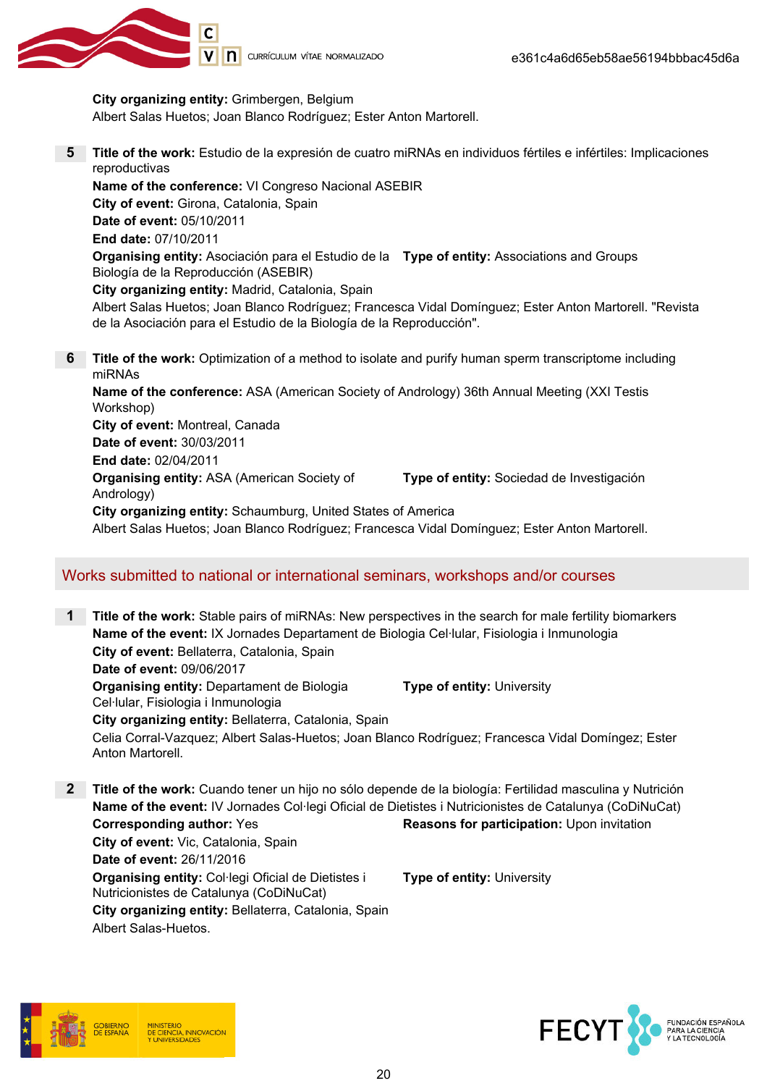

City organizing entity: Grimbergen, Belgium

Albert Salas Huetos; Joan Blanco Rodríguez; Ester Anton Martorell.

5 Title of the work: Estudio de la expresión de cuatro miRNAs en individuos fértiles e infértiles: Implicaciones reproductivas

Name of the conference: VI Congreso Nacional ASEBIR City of event: Girona, Catalonia, Spain Date of event: 05/10/2011 End date: 07/10/2011 **Organising entity:** Asociación para el Estudio de la **Type of entity:** Associations and Groups Biología de la Reproducción (ASEBIR) City organizing entity: Madrid, Catalonia, Spain Albert Salas Huetos; Joan Blanco Rodríguez; Francesca Vidal Domínguez; Ester Anton Martorell. "Revista de la Asociación para el Estudio de la Biología de la Reproducción".

**6** Title of the work: Optimization of a method to isolate and purify human sperm transcriptome including miRNAs Name of the conference: ASA (American Society of Andrology) 36th Annual Meeting (XXI Testis

Workshop) City of event: Montreal, Canada Date of event: 30/03/2011 End date: 02/04/2011 Organising entity: ASA (American Society of Andrology) Type of entity: Sociedad de Investigación City organizing entity: Schaumburg, United States of America Albert Salas Huetos; Joan Blanco Rodríguez; Francesca Vidal Domínguez; Ester Anton Martorell.

Works submitted to national or international seminars, workshops and/or courses

- 1 Title of the work: Stable pairs of miRNAs: New perspectives in the search for male fertility biomarkers Name of the event: IX Jornades Departament de Biologia Cel·lular, Fisiologia i Inmunologia City of event: Bellaterra, Catalonia, Spain Date of event: 09/06/2017 Organising entity: Departament de Biologia Cel·lular, Fisiologia i Inmunologia Type of entity: University City organizing entity: Bellaterra, Catalonia, Spain Celia Corral-Vazquez; Albert Salas-Huetos; Joan Blanco Rodríguez; Francesca Vidal Domíngez; Ester Anton Martorell.
- **2** Title of the work: Cuando tener un hijo no sólo depende de la biología: Fertilidad masculina y Nutrición Name of the event: IV Jornades Col·legi Oficial de Dietistes i Nutricionistes de Catalunya (CoDiNuCat) Corresponding author: Yes **Reasons for participation:** Upon invitation City of event: Vic, Catalonia, Spain Date of event: 26/11/2016 Organising entity: Col·legi Oficial de Dietistes i Nutricionistes de Catalunya (CoDiNuCat) Type of entity: University City organizing entity: Bellaterra, Catalonia, Spain Albert Salas-Huetos.



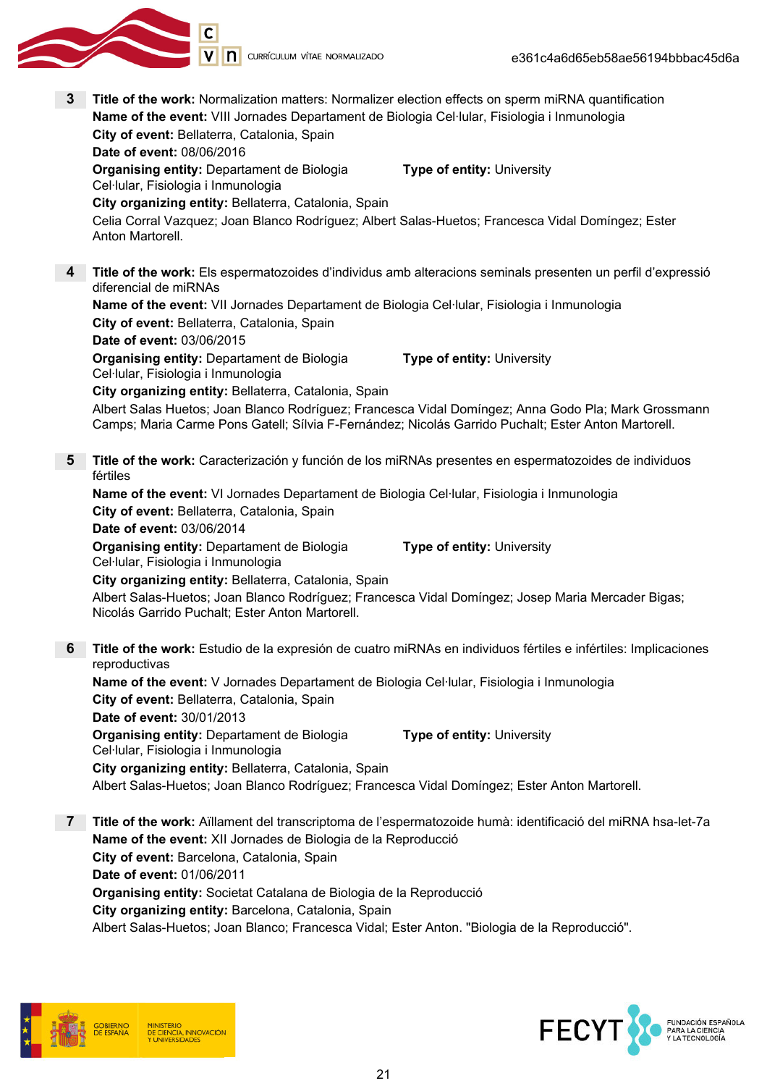

3 Title of the work: Normalization matters: Normalizer election effects on sperm miRNA quantification Name of the event: VIII Jornades Departament de Biologia Cel·lular, Fisiologia i Inmunologia City of event: Bellaterra, Catalonia, Spain Date of event: 08/06/2016 **Organising entity: Departament de Biologia** Cel·lular, Fisiologia i Inmunologia Type of entity: University City organizing entity: Bellaterra, Catalonia, Spain Celia Corral Vazquez; Joan Blanco Rodríguez; Albert Salas-Huetos; Francesca Vidal Domíngez; Ester Anton Martorell. 4 Title of the work: Els espermatozoides d'individus amb alteracions seminals presenten un perfil d'expressió diferencial de miRNAs Name of the event: VII Jornades Departament de Biologia Cel·lular, Fisiologia i Inmunologia City of event: Bellaterra, Catalonia, Spain Date of event: 03/06/2015 Organising entity: Departament de Biologia Cel·lular, Fisiologia i Inmunologia Type of entity: University City organizing entity: Bellaterra, Catalonia, Spain Albert Salas Huetos; Joan Blanco Rodríguez; Francesca Vidal Domíngez; Anna Godo Pla; Mark Grossmann Camps; Maria Carme Pons Gatell; Sílvia F-Fernández; Nicolás Garrido Puchalt; Ester Anton Martorell. 5 Title of the work: Caracterización y función de los miRNAs presentes en espermatozoides de individuos fértiles Name of the event: VI Jornades Departament de Biologia Cel·lular, Fisiologia i Inmunologia City of event: Bellaterra, Catalonia, Spain Date of event: 03/06/2014 Organising entity: Departament de Biologia Cel·lular, Fisiologia i Inmunologia Type of entity: University City organizing entity: Bellaterra, Catalonia, Spain Albert Salas-Huetos; Joan Blanco Rodríguez; Francesca Vidal Domíngez; Josep Maria Mercader Bigas; Nicolás Garrido Puchalt; Ester Anton Martorell. 6 Title of the work: Estudio de la expresión de cuatro miRNAs en individuos fértiles e infértiles: Implicaciones reproductivas Name of the event: V Jornades Departament de Biologia Cel·lular, Fisiologia i Inmunologia City of event: Bellaterra, Catalonia, Spain Date of event: 30/01/2013 Organising entity: Departament de Biologia Cel·lular, Fisiologia i Inmunologia Type of entity: University City organizing entity: Bellaterra, Catalonia, Spain Albert Salas-Huetos; Joan Blanco Rodríguez; Francesca Vidal Domíngez; Ester Anton Martorell. 7 Title of the work: Aïllament del transcriptoma de l'espermatozoide humà: identificació del miRNA hsa-let-7a Name of the event: XII Jornades de Biologia de la Reproducció City of event: Barcelona, Catalonia, Spain Date of event: 01/06/2011

Organising entity: Societat Catalana de Biologia de la Reproducció

City organizing entity: Barcelona, Catalonia, Spain

Albert Salas-Huetos; Joan Blanco; Francesca Vidal; Ester Anton. "Biologia de la Reproducció".